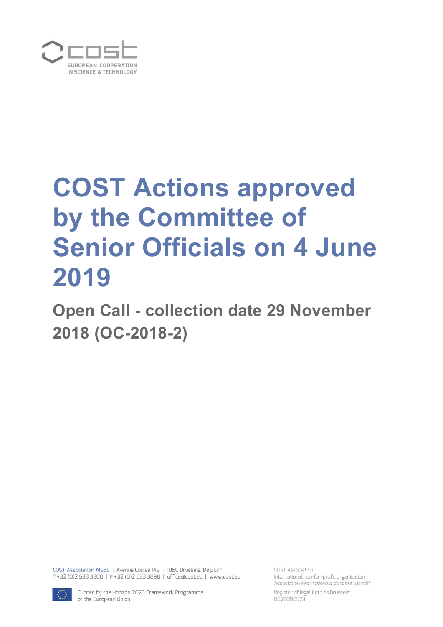

# **COST Actions approved by the Committee of Senior Officials on 4 June 2019**

**Open Call - collection date 29 November 2018 (OC-2018-2)** 

COST Association AISBL | Avenue Louise 149 | 1050 Brussels, Belgium T +32 (0)2 533 3800 | F +32 (0)2 533 3890 | office@cost.eu | www.cost.eu

COST Association International non-for-profit organisation Association internationale sans but lucratif



Funded by the Horizon 2020 Framework Programme of the European Union

Register of legal Entities Brussels: 0829090573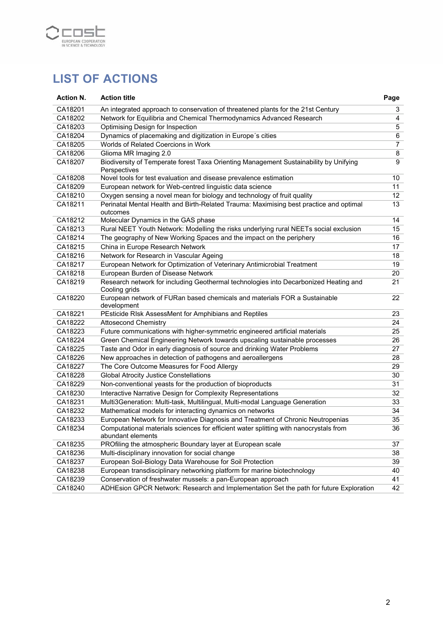

# **LIST OF ACTIONS**

| <b>Action N.</b> | <b>Action title</b>                                                                                        | Page           |
|------------------|------------------------------------------------------------------------------------------------------------|----------------|
| CA18201          | An integrated approach to conservation of threatened plants for the 21st Century                           | 3              |
| CA18202          | Network for Equilibria and Chemical Thermodynamics Advanced Research                                       | 4              |
| CA18203          | Optimising Design for Inspection                                                                           | 5              |
| CA18204          | Dynamics of placemaking and digitization in Europe's cities                                                | 6              |
| CA18205          | Worlds of Related Coercions in Work                                                                        | $\overline{7}$ |
| CA18206          | Glioma MR Imaging 2.0                                                                                      | 8              |
| CA18207          | Biodiversity of Temperate forest Taxa Orienting Management Sustainability by Unifying<br>Perspectives      | 9              |
| CA18208          | Novel tools for test evaluation and disease prevalence estimation                                          | 10             |
| CA18209          | European network for Web-centred linguistic data science                                                   | 11             |
| CA18210          | Oxygen sensing a novel mean for biology and technology of fruit quality                                    | 12             |
| CA18211          | Perinatal Mental Health and Birth-Related Trauma: Maximising best practice and optimal<br>outcomes         | 13             |
| CA18212          | Molecular Dynamics in the GAS phase                                                                        | 14             |
| CA18213          | Rural NEET Youth Network: Modelling the risks underlying rural NEETs social exclusion                      | 15             |
| CA18214          | The geography of New Working Spaces and the impact on the periphery                                        | 16             |
| CA18215          | China in Europe Research Network                                                                           | 17             |
| CA18216          | Network for Research in Vascular Ageing                                                                    | 18             |
| CA18217          | European Network for Optimization of Veterinary Antimicrobial Treatment                                    | 19             |
| CA18218          | European Burden of Disease Network                                                                         | 20             |
| CA18219          | Research network for including Geothermal technologies into Decarbonized Heating and<br>Cooling grids      | 21             |
| CA18220          | European network of FURan based chemicals and materials FOR a Sustainable<br>development                   | 22             |
| CA18221          | PEsticide RIsk AssessMent for Amphibians and Reptiles                                                      | 23             |
| CA18222          | <b>Attosecond Chemistry</b>                                                                                | 24             |
| CA18223          | Future communications with higher-symmetric engineered artificial materials                                | 25             |
| CA18224          | Green Chemical Engineering Network towards upscaling sustainable processes                                 | 26             |
| CA18225          | Taste and Odor in early diagnosis of source and drinking Water Problems                                    | 27             |
| CA18226          | New approaches in detection of pathogens and aeroallergens                                                 | 28             |
| CA18227          | The Core Outcome Measures for Food Allergy                                                                 | 29             |
| CA18228          | <b>Global Atrocity Justice Constellations</b>                                                              | 30             |
| CA18229          | Non-conventional yeasts for the production of bioproducts                                                  | 31             |
| CA18230          | Interactive Narrative Design for Complexity Representations                                                | 32             |
| CA18231          | Multi3Generation: Multi-task, Multilingual, Multi-modal Language Generation                                | 33             |
| CA18232          | Mathematical models for interacting dynamics on networks                                                   | 34             |
| CA18233          | European Network for Innovative Diagnosis and Treatment of Chronic Neutropenias                            | 35             |
| CA18234          | Computational materials sciences for efficient water splitting with nanocrystals from<br>abundant elements | 36             |
| CA18235          | PROfiling the atmospheric Boundary layer at European scale                                                 | 37             |
| CA18236          | Multi-disciplinary innovation for social change                                                            | 38             |
| CA18237          | European Soil-Biology Data Warehouse for Soil Protection                                                   | 39             |
| CA18238          | European transdisciplinary networking platform for marine biotechnology                                    | 40             |
| CA18239          | Conservation of freshwater mussels: a pan-European approach                                                | 41             |
| CA18240          | ADHEsion GPCR Network: Research and Implementation Set the path for future Exploration                     | 42             |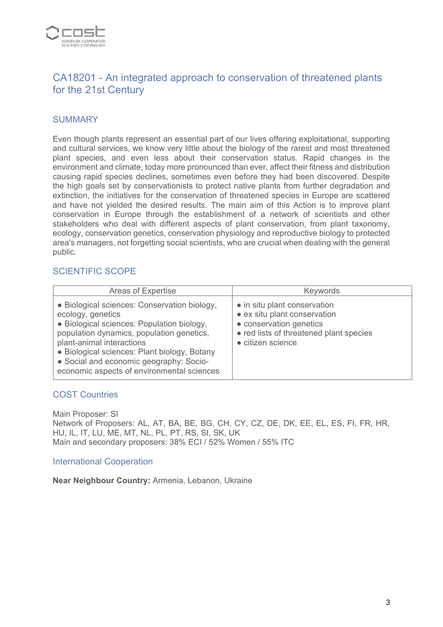

# CA18201 - An integrated approach to conservation of threatened plants for the 21st Century

## **SUMMARY**

Even though plants represent an essential part of our lives offering exploitational, supporting and cultural services, we know very little about the biology of the rarest and most threatened plant species, and even less about their conservation status. Rapid changes in the environment and climate, today more pronounced than ever, affect their fitness and distribution causing rapid species declines, sometimes even before they had been discovered. Despite the high goals set by conservationists to protect native plants from further degradation and extinction, the initiatives for the conservation of threatened species in Europe are scattered and have not yielded the desired results. The main aim of this Action is to improve plant conservation in Europe through the establishment of a network of scientists and other stakeholders who deal with different aspects of plant conservation, from plant taxonomy, ecology, conservation genetics, conservation physiology and reproductive biology to protected area's managers, not forgetting social scientists, who are crucial when dealing with the general public.

#### SCIENTIFIC SCOPE

| <b>Areas of Expertise</b>                                                                                                                                                                                                                                                                                                          | Keywords                                                                                                                                                |
|------------------------------------------------------------------------------------------------------------------------------------------------------------------------------------------------------------------------------------------------------------------------------------------------------------------------------------|---------------------------------------------------------------------------------------------------------------------------------------------------------|
| • Biological sciences: Conservation biology,<br>ecology, genetics<br>· Biological sciences: Population biology,<br>population dynamics, population genetics,<br>plant-animal interactions<br>• Biological sciences: Plant biology, Botany<br>• Social and economic geography: Socio-<br>economic aspects of environmental sciences | • in situ plant conservation<br>• ex situ plant conservation<br>• conservation genetics<br>• red lists of threatened plant species<br>• citizen science |

#### COST Countries

Main Proposer: SI Network of Proposers: AL, AT, BA, BE, BG, CH, CY, CZ, DE, DK, EE, EL, ES, FI, FR, HR, HU, IL, IT, LU, ME, MT, NL, PL, PT, RS, SI, SK, UK Main and secondary proposers: 38% ECI / 52% Women / 55% ITC

#### International Cooperation

**Near Neighbour Country:** Armenia, Lebanon, Ukraine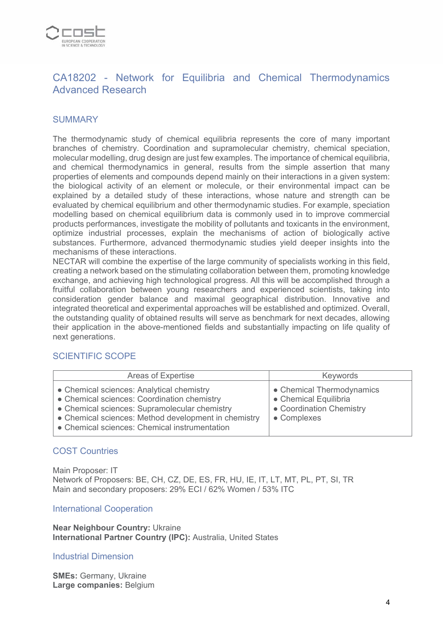

# CA18202 - Network for Equilibria and Chemical Thermodynamics Advanced Research

#### **SUMMARY**

The thermodynamic study of chemical equilibria represents the core of many important branches of chemistry. Coordination and supramolecular chemistry, chemical speciation, molecular modelling, drug design are just few examples. The importance of chemical equilibria, and chemical thermodynamics in general, results from the simple assertion that many properties of elements and compounds depend mainly on their interactions in a given system: the biological activity of an element or molecule, or their environmental impact can be explained by a detailed study of these interactions, whose nature and strength can be evaluated by chemical equilibrium and other thermodynamic studies. For example, speciation modelling based on chemical equilibrium data is commonly used in to improve commercial products performances, investigate the mobility of pollutants and toxicants in the environment, optimize industrial processes, explain the mechanisms of action of biologically active substances. Furthermore, advanced thermodynamic studies yield deeper insights into the mechanisms of these interactions.

NECTAR will combine the expertise of the large community of specialists working in this field, creating a network based on the stimulating collaboration between them, promoting knowledge exchange, and achieving high technological progress. All this will be accomplished through a fruitful collaboration between young researchers and experienced scientists, taking into consideration gender balance and maximal geographical distribution. Innovative and integrated theoretical and experimental approaches will be established and optimized. Overall, the outstanding quality of obtained results will serve as benchmark for next decades, allowing their application in the above-mentioned fields and substantially impacting on life quality of next generations.

#### SCIENTIFIC SCOPE

| Areas of Expertise                                                                                                                                                                                                                                 | <b>Keywords</b>                                                                               |
|----------------------------------------------------------------------------------------------------------------------------------------------------------------------------------------------------------------------------------------------------|-----------------------------------------------------------------------------------------------|
| • Chemical sciences: Analytical chemistry<br>• Chemical sciences: Coordination chemistry<br>• Chemical sciences: Supramolecular chemistry<br>• Chemical sciences: Method development in chemistry<br>• Chemical sciences: Chemical instrumentation | • Chemical Thermodynamics<br>• Chemical Equilibria<br>• Coordination Chemistry<br>• Complexes |

#### COST Countries

Main Proposer: IT Network of Proposers: BE, CH, CZ, DE, ES, FR, HU, IE, IT, LT, MT, PL, PT, SI, TR Main and secondary proposers: 29% ECI / 62% Women / 53% ITC

#### International Cooperation

**Near Neighbour Country:** Ukraine **International Partner Country (IPC):** Australia, United States

#### Industrial Dimension

**SMEs:** Germany, Ukraine **Large companies:** Belgium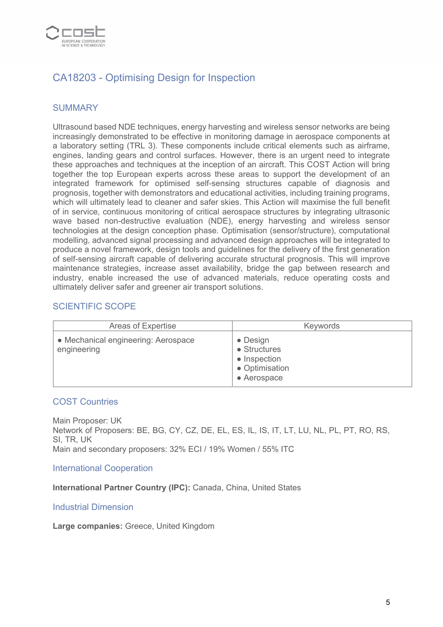

# CA18203 - Optimising Design for Inspection

## **SUMMARY**

Ultrasound based NDE techniques, energy harvesting and wireless sensor networks are being increasingly demonstrated to be effective in monitoring damage in aerospace components at a laboratory setting (TRL 3). These components include critical elements such as airframe, engines, landing gears and control surfaces. However, there is an urgent need to integrate these approaches and techniques at the inception of an aircraft. This COST Action will bring together the top European experts across these areas to support the development of an integrated framework for optimised self-sensing structures capable of diagnosis and prognosis, together with demonstrators and educational activities, including training programs, which will ultimately lead to cleaner and safer skies. This Action will maximise the full benefit of in service, continuous monitoring of critical aerospace structures by integrating ultrasonic wave based non-destructive evaluation (NDE), energy harvesting and wireless sensor technologies at the design conception phase. Optimisation (sensor/structure), computational modelling, advanced signal processing and advanced design approaches will be integrated to produce a novel framework, design tools and guidelines for the delivery of the first generation of self-sensing aircraft capable of delivering accurate structural prognosis. This will improve maintenance strategies, increase asset availability, bridge the gap between research and industry, enable increased the use of advanced materials, reduce operating costs and ultimately deliver safer and greener air transport solutions.

## SCIENTIFIC SCOPE

| Areas of Expertise                                 | Keywords                                                                                  |
|----------------------------------------------------|-------------------------------------------------------------------------------------------|
| • Mechanical engineering: Aerospace<br>engineering | $\bullet$ Design<br>$\bullet$ Structures<br>• Inspection<br>• Optimisation<br>• Aerospace |

#### COST Countries

Main Proposer: UK Network of Proposers: BE, BG, CY, CZ, DE, EL, ES, IL, IS, IT, LT, LU, NL, PL, PT, RO, RS, SI, TR, UK Main and secondary proposers: 32% ECI / 19% Women / 55% ITC

International Cooperation

**International Partner Country (IPC):** Canada, China, United States

Industrial Dimension

**Large companies:** Greece, United Kingdom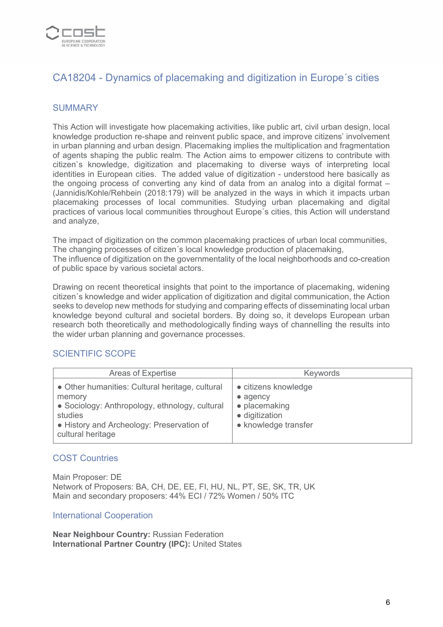

# CA18204 - Dynamics of placemaking and digitization in Europe´s cities

## **SUMMARY**

This Action will investigate how placemaking activities, like public art, civil urban design, local knowledge production re-shape and reinvent public space, and improve citizens' involvement in urban planning and urban design. Placemaking implies the multiplication and fragmentation of agents shaping the public realm. The Action aims to empower citizens to contribute with citizen`s knowledge, digitization and placemaking to diverse ways of interpreting local identities in European cities. The added value of digitization - understood here basically as the ongoing process of converting any kind of data from an analog into a digital format – (Jannidis/Kohle/Rehbein (2018:179) will be analyzed in the ways in which it impacts urban placemaking processes of local communities. Studying urban placemaking and digital practices of various local communities throughout Europe´s cities, this Action will understand and analyze,

The impact of digitization on the common placemaking practices of urban local communities, The changing processes of citizen´s local knowledge production of placemaking, The influence of digitization on the governmentality of the local neighborhoods and co-creation of public space by various societal actors.

Drawing on recent theoretical insights that point to the importance of placemaking, widening citizen´s knowledge and wider application of digitization and digital communication, the Action seeks to develop new methods for studying and comparing effects of disseminating local urban knowledge beyond cultural and societal borders. By doing so, it develops European urban research both theoretically and methodologically finding ways of channelling the results into the wider urban planning and governance processes.

## SCIENTIFIC SCOPE

| Areas of Expertise                                                                                                                                                                       | <b>Keywords</b>                                                                                             |
|------------------------------------------------------------------------------------------------------------------------------------------------------------------------------------------|-------------------------------------------------------------------------------------------------------------|
| • Other humanities: Cultural heritage, cultural<br>memory<br>• Sociology: Anthropology, ethnology, cultural<br>studies<br>• History and Archeology: Preservation of<br>cultural heritage | • citizens knowledge<br>$\bullet$ agency<br>• placemaking<br>$\bullet$ digitization<br>• knowledge transfer |

#### COST Countries

Main Proposer: DE Network of Proposers: BA, CH, DE, EE, FI, HU, NL, PT, SE, SK, TR, UK Main and secondary proposers: 44% ECI / 72% Women / 50% ITC

#### International Cooperation

**Near Neighbour Country:** Russian Federation **International Partner Country (IPC):** United States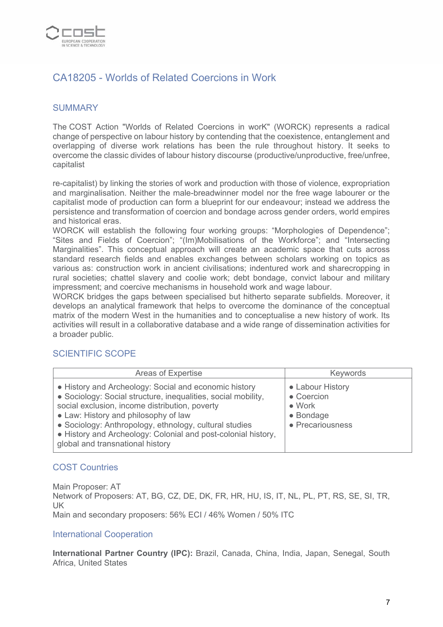

# CA18205 - Worlds of Related Coercions in Work

## **SUMMARY**

The COST Action "Worlds of Related Coercions in worK" (WORCK) represents a radical change of perspective on labour history by contending that the coexistence, entanglement and overlapping of diverse work relations has been the rule throughout history. It seeks to overcome the classic divides of labour history discourse (productive/unproductive, free/unfree, capitalist

re-capitalist) by linking the stories of work and production with those of violence, expropriation and marginalisation. Neither the male-breadwinner model nor the free wage labourer or the capitalist mode of production can form a blueprint for our endeavour; instead we address the persistence and transformation of coercion and bondage across gender orders, world empires and historical eras.

WORCK will establish the following four working groups: "Morphologies of Dependence"; "Sites and Fields of Coercion"; "(Im)Mobilisations of the Workforce"; and "Intersecting Marginalities". This conceptual approach will create an academic space that cuts across standard research fields and enables exchanges between scholars working on topics as various as: construction work in ancient civilisations; indentured work and sharecropping in rural societies; chattel slavery and coolie work; debt bondage, convict labour and military impressment; and coercive mechanisms in household work and wage labour.

WORCK bridges the gaps between specialised but hitherto separate subfields. Moreover, it develops an analytical framework that helps to overcome the dominance of the conceptual matrix of the modern West in the humanities and to conceptualise a new history of work. Its activities will result in a collaborative database and a wide range of dissemination activities for a broader public.

#### SCIENTIFIC SCOPE

| <b>Areas of Expertise</b>                                                                                                                                                                                                                                                                                                                                                       | <b>Keywords</b>                                                                   |
|---------------------------------------------------------------------------------------------------------------------------------------------------------------------------------------------------------------------------------------------------------------------------------------------------------------------------------------------------------------------------------|-----------------------------------------------------------------------------------|
| • History and Archeology: Social and economic history<br>• Sociology: Social structure, inequalities, social mobility,<br>social exclusion, income distribution, poverty<br>• Law: History and philosophy of law<br>• Sociology: Anthropology, ethnology, cultural studies<br>• History and Archeology: Colonial and post-colonial history,<br>global and transnational history | • Labour History<br>• Coercion<br>$\bullet$ Work<br>• Bondage<br>• Precariousness |

#### COST Countries

Main Proposer: AT Network of Proposers: AT, BG, CZ, DE, DK, FR, HR, HU, IS, IT, NL, PL, PT, RS, SE, SI, TR, UK Main and secondary proposers: 56% ECI / 46% Women / 50% ITC

#### International Cooperation

**International Partner Country (IPC):** Brazil, Canada, China, India, Japan, Senegal, South Africa, United States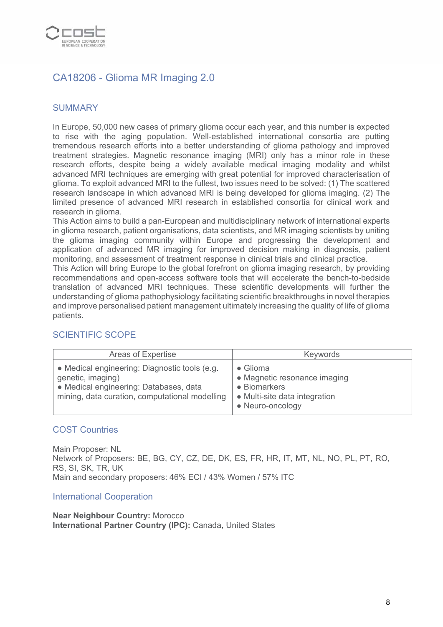

# CA18206 - Glioma MR Imaging 2.0

## **SUMMARY**

In Europe, 50,000 new cases of primary glioma occur each year, and this number is expected to rise with the aging population. Well-established international consortia are putting tremendous research efforts into a better understanding of glioma pathology and improved treatment strategies. Magnetic resonance imaging (MRI) only has a minor role in these research efforts, despite being a widely available medical imaging modality and whilst advanced MRI techniques are emerging with great potential for improved characterisation of glioma. To exploit advanced MRI to the fullest, two issues need to be solved: (1) The scattered research landscape in which advanced MRI is being developed for glioma imaging. (2) The limited presence of advanced MRI research in established consortia for clinical work and research in glioma.

This Action aims to build a pan-European and multidisciplinary network of international experts in glioma research, patient organisations, data scientists, and MR imaging scientists by uniting the glioma imaging community within Europe and progressing the development and application of advanced MR imaging for improved decision making in diagnosis, patient monitoring, and assessment of treatment response in clinical trials and clinical practice.

This Action will bring Europe to the global forefront on glioma imaging research, by providing recommendations and open-access software tools that will accelerate the bench-to-bedside translation of advanced MRI techniques. These scientific developments will further the understanding of glioma pathophysiology facilitating scientific breakthroughs in novel therapies and improve personalised patient management ultimately increasing the quality of life of glioma patients.

# SCIENTIFIC SCOPE

| Areas of Expertise                                                                                                                                             | <b>Keywords</b>                                                                                               |
|----------------------------------------------------------------------------------------------------------------------------------------------------------------|---------------------------------------------------------------------------------------------------------------|
| • Medical engineering: Diagnostic tools (e.g.<br>genetic, imaging)<br>• Medical engineering: Databases, data<br>mining, data curation, computational modelling | • Glioma<br>• Magnetic resonance imaging<br>• Biomarkers<br>• Multi-site data integration<br>• Neuro-oncology |

#### COST Countries

Main Proposer: NL Network of Proposers: BE, BG, CY, CZ, DE, DK, ES, FR, HR, IT, MT, NL, NO, PL, PT, RO, RS, SI, SK, TR, UK Main and secondary proposers: 46% ECI / 43% Women / 57% ITC

#### International Cooperation

**Near Neighbour Country:** Morocco **International Partner Country (IPC):** Canada, United States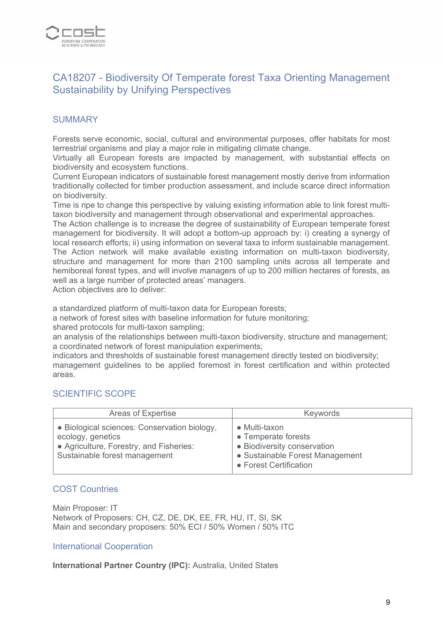

# CA18207 - Biodiversity Of Temperate forest Taxa Orienting Management Sustainability by Unifying Perspectives

## **SUMMARY**

Forests serve economic, social, cultural and environmental purposes, offer habitats for most terrestrial organisms and play a major role in mitigating climate change.

Virtually all European forests are impacted by management, with substantial effects on biodiversity and ecosystem functions.

Current European indicators of sustainable forest management mostly derive from information traditionally collected for timber production assessment, and include scarce direct information on biodiversity.

Time is ripe to change this perspective by valuing existing information able to link forest multitaxon biodiversity and management through observational and experimental approaches.

The Action challenge is to increase the degree of sustainability of European temperate forest management for biodiversity. It will adopt a bottom-up approach by: i) creating a synergy of local research efforts; ii) using information on several taxa to inform sustainable management. The Action network will make available existing information on multi-taxon biodiversity, structure and management for more than 2100 sampling units across all temperate and hemiboreal forest types, and will involve managers of up to 200 million hectares of forests, as well as a large number of protected areas' managers.

Action objectives are to deliver:

a standardized platform of multi-taxon data for European forests;

a network of forest sites with baseline information for future monitoring;

shared protocols for multi-taxon sampling;

an analysis of the relationships between multi-taxon biodiversity, structure and management; a coordinated network of forest manipulation experiments;

indicators and thresholds of sustainable forest management directly tested on biodiversity; management guidelines to be applied foremost in forest certification and within protected areas.

#### SCIENTIFIC SCOPE

| Areas of Expertise                                                                                                                            | Keywords                                                                                                                                 |
|-----------------------------------------------------------------------------------------------------------------------------------------------|------------------------------------------------------------------------------------------------------------------------------------------|
| • Biological sciences: Conservation biology,<br>ecology, genetics<br>• Agriculture, Forestry, and Fisheries:<br>Sustainable forest management | $\bullet$ Multi-taxon<br>• Temperate forests<br>• Biodiversity conservation<br>• Sustainable Forest Management<br>• Forest Certification |

#### COST Countries

Main Proposer: IT Network of Proposers: CH, CZ, DE, DK, EE, FR, HU, IT, SI, SK Main and secondary proposers: 50% ECI / 50% Women / 50% ITC

#### International Cooperation

**International Partner Country (IPC):** Australia, United States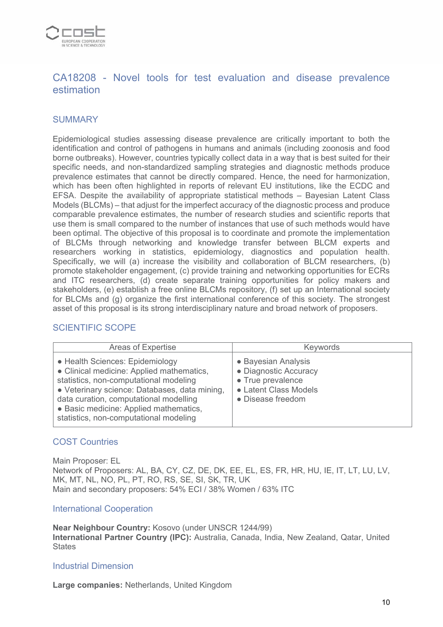

# CA18208 - Novel tools for test evaluation and disease prevalence estimation

## **SUMMARY**

Epidemiological studies assessing disease prevalence are critically important to both the identification and control of pathogens in humans and animals (including zoonosis and food borne outbreaks). However, countries typically collect data in a way that is best suited for their specific needs, and non-standardized sampling strategies and diagnostic methods produce prevalence estimates that cannot be directly compared. Hence, the need for harmonization, which has been often highlighted in reports of relevant EU institutions, like the ECDC and EFSA. Despite the availability of appropriate statistical methods – Bayesian Latent Class Models (BLCMs) – that adjust for the imperfect accuracy of the diagnostic process and produce comparable prevalence estimates, the number of research studies and scientific reports that use them is small compared to the number of instances that use of such methods would have been optimal. The objective of this proposal is to coordinate and promote the implementation of BLCMs through networking and knowledge transfer between BLCM experts and researchers working in statistics, epidemiology, diagnostics and population health. Specifically, we will (a) increase the visibility and collaboration of BLCM researchers, (b) promote stakeholder engagement, (c) provide training and networking opportunities for ECRs and ITC researchers, (d) create separate training opportunities for policy makers and stakeholders, (e) establish a free online BLCMs repository, (f) set up an International society for BLCMs and (g) organize the first international conference of this society. The strongest asset of this proposal is its strong interdisciplinary nature and broad network of proposers.

## SCIENTIFIC SCOPE

| <b>Areas of Expertise</b>                                                                                                                                                                                                                                                                             | Keywords                                                                                                        |
|-------------------------------------------------------------------------------------------------------------------------------------------------------------------------------------------------------------------------------------------------------------------------------------------------------|-----------------------------------------------------------------------------------------------------------------|
| • Health Sciences: Epidemiology<br>• Clinical medicine: Applied mathematics,<br>statistics, non-computational modeling<br>• Veterinary science: Databases, data mining,<br>data curation, computational modelling<br>• Basic medicine: Applied mathematics,<br>statistics, non-computational modeling | • Bayesian Analysis<br>• Diagnostic Accuracy<br>• True prevalence<br>• Latent Class Models<br>• Disease freedom |

#### COST Countries

Main Proposer: EL Network of Proposers: AL, BA, CY, CZ, DE, DK, EE, EL, ES, FR, HR, HU, IE, IT, LT, LU, LV, MK, MT, NL, NO, PL, PT, RO, RS, SE, SI, SK, TR, UK Main and secondary proposers: 54% ECI / 38% Women / 63% ITC

#### International Cooperation

**Near Neighbour Country:** Kosovo (under UNSCR 1244/99) **International Partner Country (IPC):** Australia, Canada, India, New Zealand, Qatar, United **States** 

#### Industrial Dimension

**Large companies:** Netherlands, United Kingdom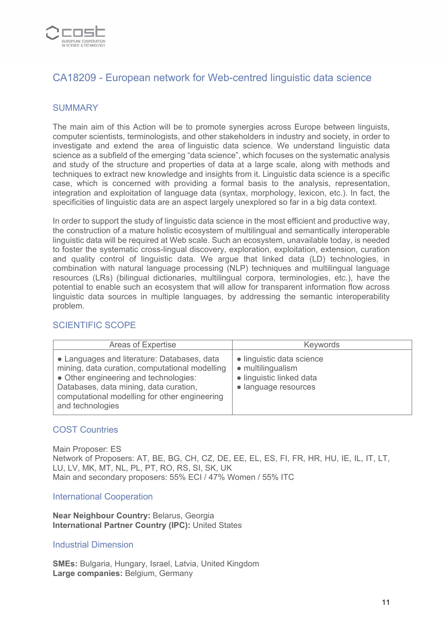

# CA18209 - European network for Web-centred linguistic data science

## **SUMMARY**

The main aim of this Action will be to promote synergies across Europe between linguists, computer scientists, terminologists, and other stakeholders in industry and society, in order to investigate and extend the area of linguistic data science. We understand linguistic data science as a subfield of the emerging "data science", which focuses on the systematic analysis and study of the structure and properties of data at a large scale, along with methods and techniques to extract new knowledge and insights from it. Linguistic data science is a specific case, which is concerned with providing a formal basis to the analysis, representation, integration and exploitation of language data (syntax, morphology, lexicon, etc.). In fact, the specificities of linguistic data are an aspect largely unexplored so far in a big data context.

In order to support the study of linguistic data science in the most efficient and productive way, the construction of a mature holistic ecosystem of multilingual and semantically interoperable linguistic data will be required at Web scale. Such an ecosystem, unavailable today, is needed to foster the systematic cross-lingual discovery, exploration, exploitation, extension, curation and quality control of linguistic data. We argue that linked data (LD) technologies, in combination with natural language processing (NLP) techniques and multilingual language resources (LRs) (bilingual dictionaries, multilingual corpora, terminologies, etc.), have the potential to enable such an ecosystem that will allow for transparent information flow across linguistic data sources in multiple languages, by addressing the semantic interoperability problem.

#### SCIENTIFIC SCOPE

| Areas of Expertise                                                                                                                                                                                                                                    | Keywords                                                                                           |
|-------------------------------------------------------------------------------------------------------------------------------------------------------------------------------------------------------------------------------------------------------|----------------------------------------------------------------------------------------------------|
| • Languages and literature: Databases, data<br>mining, data curation, computational modelling<br>• Other engineering and technologies:<br>Databases, data mining, data curation,<br>computational modelling for other engineering<br>and technologies | • linguistic data science<br>• multilingualism<br>· linguistic linked data<br>• language resources |

#### COST Countries

Main Proposer: ES Network of Proposers: AT, BE, BG, CH, CZ, DE, EE, EL, ES, FI, FR, HR, HU, IE, IL, IT, LT, LU, LV, MK, MT, NL, PL, PT, RO, RS, SI, SK, UK Main and secondary proposers: 55% ECI / 47% Women / 55% ITC

#### International Cooperation

**Near Neighbour Country:** Belarus, Georgia **International Partner Country (IPC): United States** 

#### Industrial Dimension

**SMEs:** Bulgaria, Hungary, Israel, Latvia, United Kingdom **Large companies:** Belgium, Germany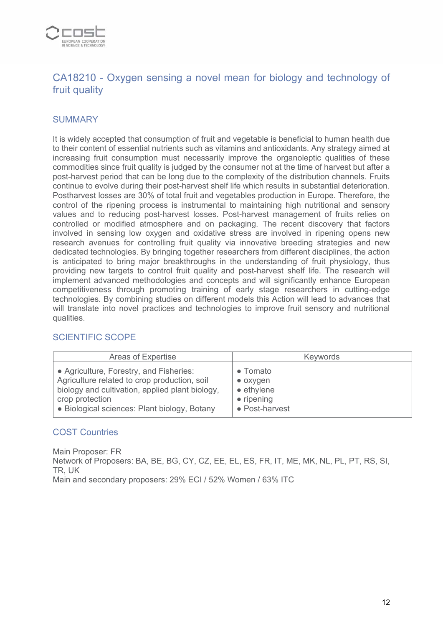

# CA18210 - Oxygen sensing a novel mean for biology and technology of fruit quality

## **SUMMARY**

It is widely accepted that consumption of fruit and vegetable is beneficial to human health due to their content of essential nutrients such as vitamins and antioxidants. Any strategy aimed at increasing fruit consumption must necessarily improve the organoleptic qualities of these commodities since fruit quality is judged by the consumer not at the time of harvest but after a post-harvest period that can be long due to the complexity of the distribution channels. Fruits continue to evolve during their post-harvest shelf life which results in substantial deterioration. Postharvest losses are 30% of total fruit and vegetables production in Europe. Therefore, the control of the ripening process is instrumental to maintaining high nutritional and sensory values and to reducing post-harvest losses. Post-harvest management of fruits relies on controlled or modified atmosphere and on packaging. The recent discovery that factors involved in sensing low oxygen and oxidative stress are involved in ripening opens new research avenues for controlling fruit quality via innovative breeding strategies and new dedicated technologies. By bringing together researchers from different disciplines, the action is anticipated to bring major breakthroughs in the understanding of fruit physiology, thus providing new targets to control fruit quality and post-harvest shelf life. The research will implement advanced methodologies and concepts and will significantly enhance European competitiveness through promoting training of early stage researchers in cutting-edge technologies. By combining studies on different models this Action will lead to advances that will translate into novel practices and technologies to improve fruit sensory and nutritional qualities.

## SCIENTIFIC SCOPE

| Areas of Expertise                              | Keywords           |
|-------------------------------------------------|--------------------|
| • Agriculture, Forestry, and Fisheries:         | • Tomato           |
| Agriculture related to crop production, soil    | $\bullet$ oxygen   |
| biology and cultivation, applied plant biology, | $\bullet$ ethylene |
| crop protection                                 | $\bullet$ ripening |
| • Biological sciences: Plant biology, Botany    | • Post-harvest     |

## COST Countries

Main Proposer: FR Network of Proposers: BA, BE, BG, CY, CZ, EE, EL, ES, FR, IT, ME, MK, NL, PL, PT, RS, SI, TR, UK Main and secondary proposers: 29% ECI / 52% Women / 63% ITC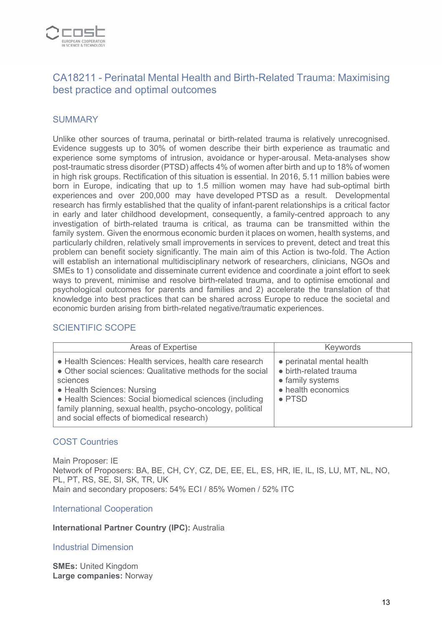

# CA18211 - Perinatal Mental Health and Birth-Related Trauma: Maximising best practice and optimal outcomes

## **SUMMARY**

Unlike other sources of trauma, perinatal or birth-related trauma is relatively unrecognised. Evidence suggests up to 30% of women describe their birth experience as traumatic and experience some symptoms of intrusion, avoidance or hyper-arousal. Meta-analyses show post-traumatic stress disorder (PTSD) affects 4% of women after birth and up to 18% of women in high risk groups. Rectification of this situation is essential. In 2016, 5.11 million babies were born in Europe, indicating that up to 1.5 million women may have had sub-optimal birth experiences and over 200,000 may have developed PTSD as a result. Developmental research has firmly established that the quality of infant-parent relationships is a critical factor in early and later childhood development, consequently, a family-centred approach to any investigation of birth-related trauma is critical, as trauma can be transmitted within the family system. Given the enormous economic burden it places on women, health systems, and particularly children, relatively small improvements in services to prevent, detect and treat this problem can benefit society significantly. The main aim of this Action is two-fold. The Action will establish an international multidisciplinary network of researchers, clinicians, NGOs and SMEs to 1) consolidate and disseminate current evidence and coordinate a joint effort to seek ways to prevent, minimise and resolve birth-related trauma, and to optimise emotional and psychological outcomes for parents and families and 2) accelerate the translation of that knowledge into best practices that can be shared across Europe to reduce the societal and economic burden arising from birth-related negative/traumatic experiences.

## SCIENTIFIC SCOPE

| Areas of Expertise                                                                                                                                                                                                                                                                                                                        | <b>Keywords</b>                                                                                                 |
|-------------------------------------------------------------------------------------------------------------------------------------------------------------------------------------------------------------------------------------------------------------------------------------------------------------------------------------------|-----------------------------------------------------------------------------------------------------------------|
| • Health Sciences: Health services, health care research<br>• Other social sciences: Qualitative methods for the social<br>sciences<br>• Health Sciences: Nursing<br>• Health Sciences: Social biomedical sciences (including<br>family planning, sexual health, psycho-oncology, political<br>and social effects of biomedical research) | • perinatal mental health<br>• birth-related trauma<br>• family systems<br>• health economics<br>$\bullet$ PTSD |

#### COST Countries

Main Proposer: IE Network of Proposers: BA, BE, CH, CY, CZ, DE, EE, EL, ES, HR, IE, IL, IS, LU, MT, NL, NO, PL, PT, RS, SE, SI, SK, TR, UK Main and secondary proposers: 54% ECI / 85% Women / 52% ITC

#### International Cooperation

#### **International Partner Country (IPC):** Australia

#### Industrial Dimension

**SMEs:** United Kingdom **Large companies:** Norway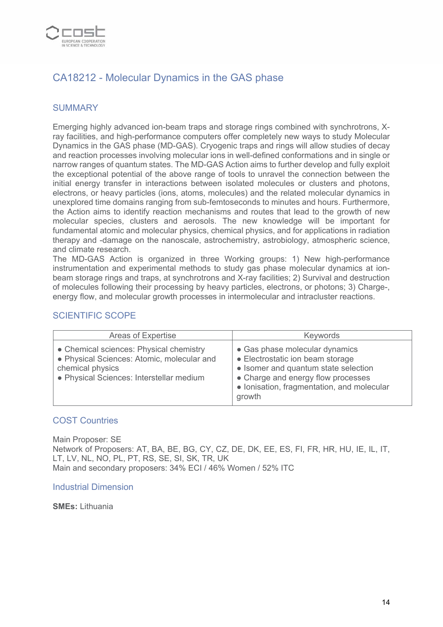

# CA18212 - Molecular Dynamics in the GAS phase

## **SUMMARY**

Emerging highly advanced ion-beam traps and storage rings combined with synchrotrons, Xray facilities, and high-performance computers offer completely new ways to study Molecular Dynamics in the GAS phase (MD-GAS). Cryogenic traps and rings will allow studies of decay and reaction processes involving molecular ions in well-defined conformations and in single or narrow ranges of quantum states. The MD-GAS Action aims to further develop and fully exploit the exceptional potential of the above range of tools to unravel the connection between the initial energy transfer in interactions between isolated molecules or clusters and photons, electrons, or heavy particles (ions, atoms, molecules) and the related molecular dynamics in unexplored time domains ranging from sub-femtoseconds to minutes and hours. Furthermore, the Action aims to identify reaction mechanisms and routes that lead to the growth of new molecular species, clusters and aerosols. The new knowledge will be important for fundamental atomic and molecular physics, chemical physics, and for applications in radiation therapy and -damage on the nanoscale, astrochemistry, astrobiology, atmospheric science, and climate research.

The MD-GAS Action is organized in three Working groups: 1) New high-performance instrumentation and experimental methods to study gas phase molecular dynamics at ionbeam storage rings and traps, at synchrotrons and X-ray facilities; 2) Survival and destruction of molecules following their processing by heavy particles, electrons, or photons; 3) Charge-, energy flow, and molecular growth processes in intermolecular and intracluster reactions.

#### SCIENTIFIC SCOPE

| Areas of Expertise                                                                                                                                    | <b>Keywords</b>                                                                                                                                                                                          |
|-------------------------------------------------------------------------------------------------------------------------------------------------------|----------------------------------------------------------------------------------------------------------------------------------------------------------------------------------------------------------|
| • Chemical sciences: Physical chemistry<br>• Physical Sciences: Atomic, molecular and<br>chemical physics<br>• Physical Sciences: Interstellar medium | • Gas phase molecular dynamics<br>• Electrostatic ion beam storage<br>• Isomer and quantum state selection<br>• Charge and energy flow processes<br>• Ionisation, fragmentation, and molecular<br>growth |

#### COST Countries

Main Proposer: SE Network of Proposers: AT, BA, BE, BG, CY, CZ, DE, DK, EE, ES, FI, FR, HR, HU, IE, IL, IT, LT, LV, NL, NO, PL, PT, RS, SE, SI, SK, TR, UK Main and secondary proposers: 34% ECI / 46% Women / 52% ITC

Industrial Dimension

**SMEs:** Lithuania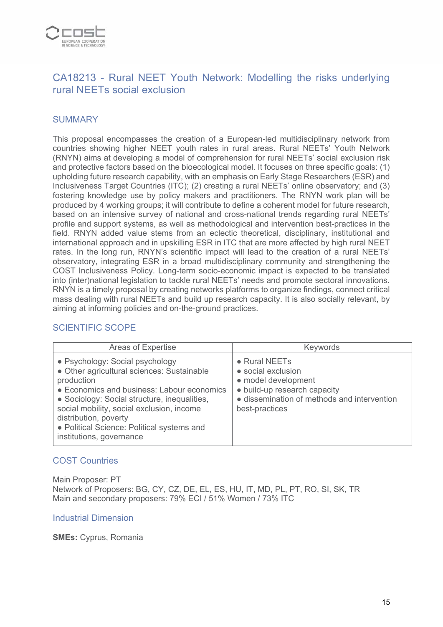

# CA18213 - Rural NEET Youth Network: Modelling the risks underlying rural NEETs social exclusion

## **SUMMARY**

This proposal encompasses the creation of a European-led multidisciplinary network from countries showing higher NEET youth rates in rural areas. Rural NEETs' Youth Network (RNYN) aims at developing a model of comprehension for rural NEETs' social exclusion risk and protective factors based on the bioecological model. It focuses on three specific goals: (1) upholding future research capability, with an emphasis on Early Stage Researchers (ESR) and Inclusiveness Target Countries (ITC); (2) creating a rural NEETs' online observatory; and (3) fostering knowledge use by policy makers and practitioners. The RNYN work plan will be produced by 4 working groups; it will contribute to define a coherent model for future research, based on an intensive survey of national and cross-national trends regarding rural NEETs' profile and support systems, as well as methodological and intervention best-practices in the field. RNYN added value stems from an eclectic theoretical, disciplinary, institutional and international approach and in upskilling ESR in ITC that are more affected by high rural NEET rates. In the long run, RNYN's scientific impact will lead to the creation of a rural NEETs' observatory, integrating ESR in a broad multidisciplinary community and strengthening the COST Inclusiveness Policy. Long-term socio-economic impact is expected to be translated into (inter)national legislation to tackle rural NEETs' needs and promote sectoral innovations. RNYN is a timely proposal by creating networks platforms to organize findings, connect critical mass dealing with rural NEETs and build up research capacity. It is also socially relevant, by aiming at informing policies and on-the-ground practices.

## SCIENTIFIC SCOPE

| <b>Areas of Expertise</b>                                                                                                                                                                                                                                                                                                                 | Keywords                                                                                                                                                            |
|-------------------------------------------------------------------------------------------------------------------------------------------------------------------------------------------------------------------------------------------------------------------------------------------------------------------------------------------|---------------------------------------------------------------------------------------------------------------------------------------------------------------------|
| • Psychology: Social psychology<br>• Other agricultural sciences: Sustainable<br>production<br>• Economics and business: Labour economics<br>• Sociology: Social structure, inequalities,<br>social mobility, social exclusion, income<br>distribution, poverty<br>• Political Science: Political systems and<br>institutions, governance | $\bullet$ Rural NEETs<br>• social exclusion<br>• model development<br>• build-up research capacity<br>· dissemination of methods and intervention<br>best-practices |

#### COST Countries

Main Proposer: PT Network of Proposers: BG, CY, CZ, DE, EL, ES, HU, IT, MD, PL, PT, RO, SI, SK, TR Main and secondary proposers: 79% ECI / 51% Women / 73% ITC

#### Industrial Dimension

**SMEs:** Cyprus, Romania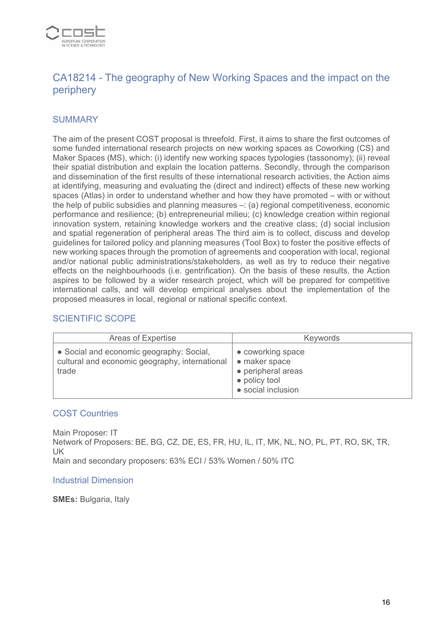

# CA18214 - The geography of New Working Spaces and the impact on the periphery

## **SUMMARY**

The aim of the present COST proposal is threefold. First, it aims to share the first outcomes of some funded international research projects on new working spaces as Coworking (CS) and Maker Spaces (MS), which: (i) identify new working spaces typologies (tassonomy); (ii) reveal their spatial distribution and explain the location patterns. Secondly, through the comparison and dissemination of the first results of these international research activities, the Action aims at identifying, measuring and evaluating the (direct and indirect) effects of these new working spaces (Atlas) in order to understand whether and how they have promoted – with or without the help of public subsidies and planning measures –: (a) regional competitiveness, economic performance and resilience; (b) entrepreneurial milieu; (c) knowledge creation within regional innovation system, retaining knowledge workers and the creative class; (d) social inclusion and spatial regeneration of peripheral areas The third aim is to collect, discuss and develop guidelines for tailored policy and planning measures (Tool Box) to foster the positive effects of new working spaces through the promotion of agreements and cooperation with local, regional and/or national public administrations/stakeholders, as well as try to reduce their negative effects on the neighbourhoods (i.e. gentrification). On the basis of these results, the Action aspires to be followed by a wider research project, which will be prepared for competitive international calls, and will develop empirical analyses about the implementation of the proposed measures in local, regional or national specific context.

## SCIENTIFIC SCOPE

| Areas of Expertise                                                                                  | <b>Keywords</b>                                                                                 |
|-----------------------------------------------------------------------------------------------------|-------------------------------------------------------------------------------------------------|
| • Social and economic geography: Social,<br>cultural and economic geography, international<br>trade | • coworking space<br>• maker space<br>• peripheral areas<br>• policy tool<br>• social inclusion |

#### COST Countries

Main Proposer: IT Network of Proposers: BE, BG, CZ, DE, ES, FR, HU, IL, IT, MK, NL, NO, PL, PT, RO, SK, TR, UK Main and secondary proposers: 63% ECI / 53% Women / 50% ITC

#### Industrial Dimension

**SMEs:** Bulgaria, Italy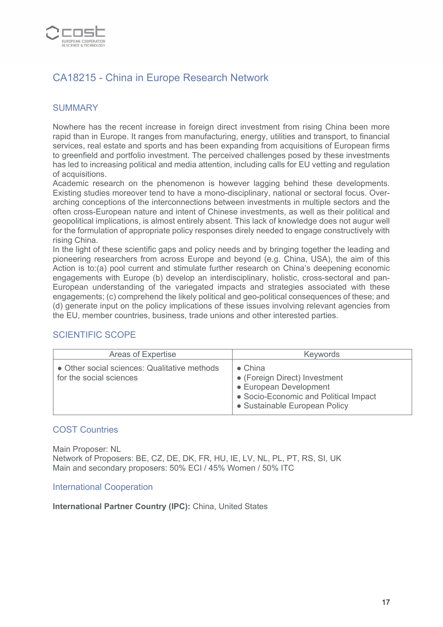

# CA18215 - China in Europe Research Network

## **SUMMARY**

Nowhere has the recent increase in foreign direct investment from rising China been more rapid than in Europe. It ranges from manufacturing, energy, utilities and transport, to financial services, real estate and sports and has been expanding from acquisitions of European firms to greenfield and portfolio investment. The perceived challenges posed by these investments has led to increasing political and media attention, including calls for EU vetting and regulation of acquisitions.

Academic research on the phenomenon is however lagging behind these developments. Existing studies moreover tend to have a mono-disciplinary, national or sectoral focus. Overarching conceptions of the interconnections between investments in multiple sectors and the often cross-European nature and intent of Chinese investments, as well as their political and geopolitical implications, is almost entirely absent. This lack of knowledge does not augur well for the formulation of appropriate policy responses direly needed to engage constructively with rising China.

In the light of these scientific gaps and policy needs and by bringing together the leading and pioneering researchers from across Europe and beyond (e.g. China, USA), the aim of this Action is to:(a) pool current and stimulate further research on China's deepening economic engagements with Europe (b) develop an interdisciplinary, holistic, cross-sectoral and pan-European understanding of the variegated impacts and strategies associated with these engagements; (c) comprehend the likely political and geo-political consequences of these; and (d) generate input on the policy implications of these issues involving relevant agencies from the EU, member countries, business, trade unions and other interested parties.

## SCIENTIFIC SCOPE

| Areas of Expertise                                                      | Keywords                                                                                                                                             |
|-------------------------------------------------------------------------|------------------------------------------------------------------------------------------------------------------------------------------------------|
| • Other social sciences: Qualitative methods<br>for the social sciences | $\bullet$ China<br>• (Foreign Direct) Investment<br>• European Development<br>• Socio-Economic and Political Impact<br>• Sustainable European Policy |

#### COST Countries

Main Proposer: NL Network of Proposers: BE, CZ, DE, DK, FR, HU, IE, LV, NL, PL, PT, RS, SI, UK Main and secondary proposers: 50% ECI / 45% Women / 50% ITC

#### International Cooperation

**International Partner Country (IPC):** China, United States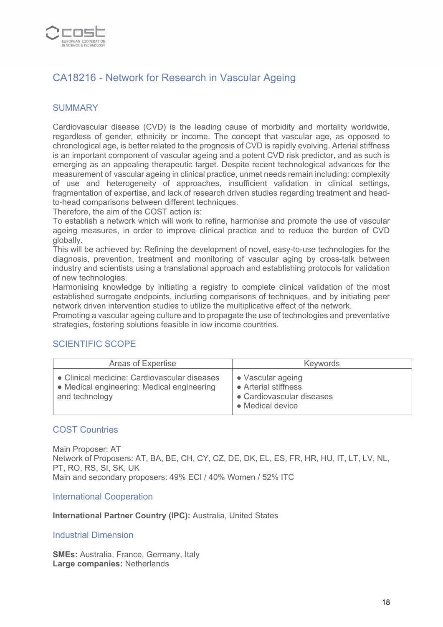

# CA18216 - Network for Research in Vascular Ageing

## **SUMMARY**

Cardiovascular disease (CVD) is the leading cause of morbidity and mortality worldwide, regardless of gender, ethnicity or income. The concept that vascular age, as opposed to chronological age, is better related to the prognosis of CVD is rapidly evolving. Arterial stiffness is an important component of vascular ageing and a potent CVD risk predictor, and as such is emerging as an appealing therapeutic target. Despite recent technological advances for the measurement of vascular ageing in clinical practice, unmet needs remain including: complexity of use and heterogeneity of approaches, insufficient validation in clinical settings, fragmentation of expertise, and lack of research driven studies regarding treatment and headto-head comparisons between different techniques.

Therefore, the aim of the COST action is:

To establish a network which will work to refine, harmonise and promote the use of vascular ageing measures, in order to improve clinical practice and to reduce the burden of CVD globally.

This will be achieved by: Refining the development of novel, easy-to-use technologies for the diagnosis, prevention, treatment and monitoring of vascular aging by cross-talk between industry and scientists using a translational approach and establishing protocols for validation of new technologies.

Harmonising knowledge by initiating a registry to complete clinical validation of the most established surrogate endpoints, including comparisons of techniques, and by initiating peer network driven intervention studies to utilize the multiplicative effect of the network.

Promoting a vascular ageing culture and to propagate the use of technologies and preventative strategies, fostering solutions feasible in low income countries.

#### SCIENTIFIC SCOPE

| Areas of Expertise                                                                                           | Keywords                                                                                   |
|--------------------------------------------------------------------------------------------------------------|--------------------------------------------------------------------------------------------|
| • Clinical medicine: Cardiovascular diseases<br>• Medical engineering: Medical engineering<br>and technology | • Vascular ageing<br>• Arterial stiffness<br>• Cardiovascular diseases<br>• Medical device |

#### COST Countries

Main Proposer: AT Network of Proposers: AT, BA, BE, CH, CY, CZ, DE, DK, EL, ES, FR, HR, HU, IT, LT, LV, NL, PT, RO, RS, SI, SK, UK Main and secondary proposers: 49% ECI / 40% Women / 52% ITC

International Cooperation

**International Partner Country (IPC):** Australia, United States

Industrial Dimension

**SMEs:** Australia, France, Germany, Italy **Large companies:** Netherlands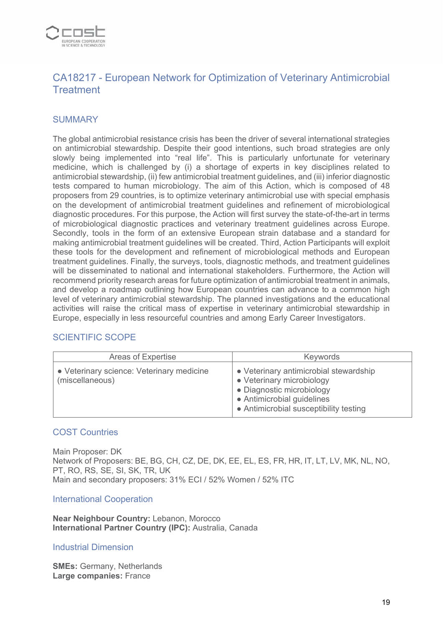

# CA18217 - European Network for Optimization of Veterinary Antimicrobial **Treatment**

## **SUMMARY**

The global antimicrobial resistance crisis has been the driver of several international strategies on antimicrobial stewardship. Despite their good intentions, such broad strategies are only slowly being implemented into "real life". This is particularly unfortunate for veterinary medicine, which is challenged by (i) a shortage of experts in key disciplines related to antimicrobial stewardship, (ii) few antimicrobial treatment guidelines, and (iii) inferior diagnostic tests compared to human microbiology. The aim of this Action, which is composed of 48 proposers from 29 countries, is to optimize veterinary antimicrobial use with special emphasis on the development of antimicrobial treatment guidelines and refinement of microbiological diagnostic procedures. For this purpose, the Action will first survey the state-of-the-art in terms of microbiological diagnostic practices and veterinary treatment guidelines across Europe. Secondly, tools in the form of an extensive European strain database and a standard for making antimicrobial treatment guidelines will be created. Third, Action Participants will exploit these tools for the development and refinement of microbiological methods and European treatment guidelines. Finally, the surveys, tools, diagnostic methods, and treatment guidelines will be disseminated to national and international stakeholders. Furthermore, the Action will recommend priority research areas for future optimization of antimicrobial treatment in animals, and develop a roadmap outlining how European countries can advance to a common high level of veterinary antimicrobial stewardship. The planned investigations and the educational activities will raise the critical mass of expertise in veterinary antimicrobial stewardship in Europe, especially in less resourceful countries and among Early Career Investigators.

#### SCIENTIFIC SCOPE

| Areas of Expertise                                           | <b>Keywords</b>                                                                                                                                                          |
|--------------------------------------------------------------|--------------------------------------------------------------------------------------------------------------------------------------------------------------------------|
| • Veterinary science: Veterinary medicine<br>(miscellaneous) | • Veterinary antimicrobial stewardship<br>• Veterinary microbiology<br>• Diagnostic microbiology<br>• Antimicrobial guidelines<br>• Antimicrobial susceptibility testing |

#### COST Countries

Main Proposer: DK Network of Proposers: BE, BG, CH, CZ, DE, DK, EE, EL, ES, FR, HR, IT, LT, LV, MK, NL, NO, PT, RO, RS, SE, SI, SK, TR, UK Main and secondary proposers: 31% ECI / 52% Women / 52% ITC

#### International Cooperation

**Near Neighbour Country:** Lebanon, Morocco **International Partner Country (IPC):** Australia, Canada

#### Industrial Dimension

**SMEs:** Germany, Netherlands **Large companies:** France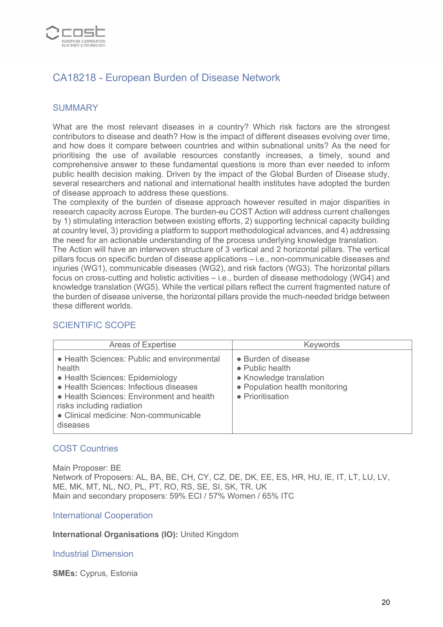

# CA18218 - European Burden of Disease Network

#### **SUMMARY**

What are the most relevant diseases in a country? Which risk factors are the strongest contributors to disease and death? How is the impact of different diseases evolving over time, and how does it compare between countries and within subnational units? As the need for prioritising the use of available resources constantly increases, a timely, sound and comprehensive answer to these fundamental questions is more than ever needed to inform public health decision making. Driven by the impact of the Global Burden of Disease study, several researchers and national and international health institutes have adopted the burden of disease approach to address these questions.

The complexity of the burden of disease approach however resulted in major disparities in research capacity across Europe. The burden-eu COST Action will address current challenges by 1) stimulating interaction between existing efforts, 2) supporting technical capacity building at country level, 3) providing a platform to support methodological advances, and 4) addressing the need for an actionable understanding of the process underlying knowledge translation.

The Action will have an interwoven structure of 3 vertical and 2 horizontal pillars. The vertical pillars focus on specific burden of disease applications – i.e., non-communicable diseases and injuries (WG1), communicable diseases (WG2), and risk factors (WG3). The horizontal pillars focus on cross-cutting and holistic activities – i.e., burden of disease methodology (WG4) and knowledge translation (WG5). While the vertical pillars reflect the current fragmented nature of the burden of disease universe, the horizontal pillars provide the much-needed bridge between these different worlds.

## SCIENTIFIC SCOPE

| <b>Areas of Expertise</b>                                                                                                                                                                                                                                         | Keywords                                                                                                                        |
|-------------------------------------------------------------------------------------------------------------------------------------------------------------------------------------------------------------------------------------------------------------------|---------------------------------------------------------------------------------------------------------------------------------|
| • Health Sciences: Public and environmental<br>health<br>• Health Sciences: Epidemiology<br>• Health Sciences: Infectious diseases<br>• Health Sciences: Environment and health<br>risks including radiation<br>• Clinical medicine: Non-communicable<br>diseases | • Burden of disease<br>$\bullet$ Public health<br>• Knowledge translation<br>• Population health monitoring<br>• Prioritisation |

#### COST Countries

Main Proposer: BE Network of Proposers: AL, BA, BE, CH, CY, CZ, DE, DK, EE, ES, HR, HU, IE, IT, LT, LU, LV, ME, MK, MT, NL, NO, PL, PT, RO, RS, SE, SI, SK, TR, UK Main and secondary proposers: 59% ECI / 57% Women / 65% ITC

#### International Cooperation

**International Organisations (IO):** United Kingdom

#### Industrial Dimension

**SMEs:** Cyprus, Estonia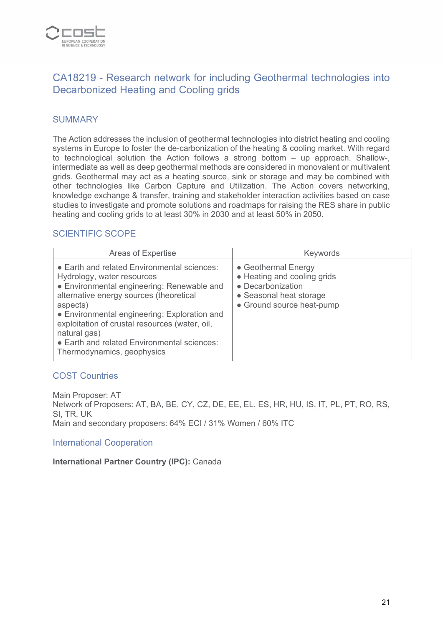

# CA18219 - Research network for including Geothermal technologies into Decarbonized Heating and Cooling grids

## **SUMMARY**

The Action addresses the inclusion of geothermal technologies into district heating and cooling systems in Europe to foster the de-carbonization of the heating & cooling market. With regard to technological solution the Action follows a strong bottom – up approach. Shallow-, intermediate as well as deep geothermal methods are considered in monovalent or multivalent grids. Geothermal may act as a heating source, sink or storage and may be combined with other technologies like Carbon Capture and Utilization. The Action covers networking, knowledge exchange & transfer, training and stakeholder interaction activities based on case studies to investigate and promote solutions and roadmaps for raising the RES share in public heating and cooling grids to at least 30% in 2030 and at least 50% in 2050.

## SCIENTIFIC SCOPE

| <b>Areas of Expertise</b>                                                                                                                                                                                                                                                                                                                                                     | Keywords                                                                                                                        |
|-------------------------------------------------------------------------------------------------------------------------------------------------------------------------------------------------------------------------------------------------------------------------------------------------------------------------------------------------------------------------------|---------------------------------------------------------------------------------------------------------------------------------|
| • Earth and related Environmental sciences:<br>Hydrology, water resources<br>• Environmental engineering: Renewable and<br>alternative energy sources (theoretical<br>aspects)<br>• Environmental engineering: Exploration and<br>exploitation of crustal resources (water, oil,<br>natural gas)<br>• Earth and related Environmental sciences:<br>Thermodynamics, geophysics | • Geothermal Energy<br>• Heating and cooling grids<br>• Decarbonization<br>• Seasonal heat storage<br>• Ground source heat-pump |

#### COST Countries

Main Proposer: AT Network of Proposers: AT, BA, BE, CY, CZ, DE, EE, EL, ES, HR, HU, IS, IT, PL, PT, RO, RS, SI, TR, UK Main and secondary proposers: 64% ECI / 31% Women / 60% ITC

#### International Cooperation

**International Partner Country (IPC):** Canada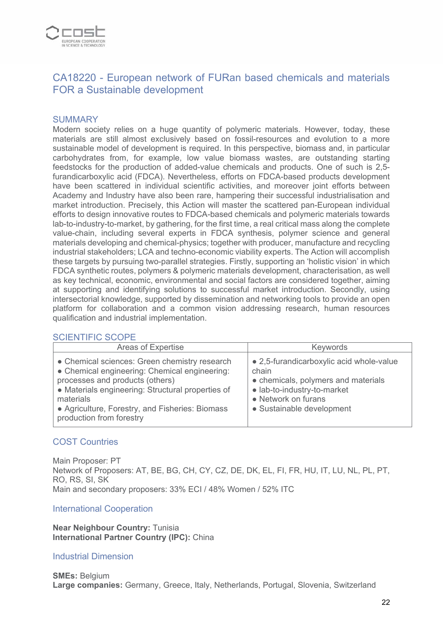

# CA18220 - European network of FURan based chemicals and materials FOR a Sustainable development

#### **SUMMARY**

Modern society relies on a huge quantity of polymeric materials. However, today, these materials are still almost exclusively based on fossil-resources and evolution to a more sustainable model of development is required. In this perspective, biomass and, in particular carbohydrates from, for example, low value biomass wastes, are outstanding starting feedstocks for the production of added-value chemicals and products. One of such is 2,5 furandicarboxylic acid (FDCA). Nevertheless, efforts on FDCA-based products development have been scattered in individual scientific activities, and moreover joint efforts between Academy and Industry have also been rare, hampering their successful industrialisation and market introduction. Precisely, this Action will master the scattered pan-European individual efforts to design innovative routes to FDCA-based chemicals and polymeric materials towards lab-to-industry-to-market, by gathering, for the first time, a real critical mass along the complete value-chain, including several experts in FDCA synthesis, polymer science and general materials developing and chemical-physics; together with producer, manufacture and recycling industrial stakeholders; LCA and techno-economic viability experts. The Action will accomplish these targets by pursuing two-parallel strategies. Firstly, supporting an 'holistic vision' in which FDCA synthetic routes, polymers & polymeric materials development, characterisation, as well as key technical, economic, environmental and social factors are considered together, aiming at supporting and identifying solutions to successful market introduction. Secondly, using intersectorial knowledge, supported by dissemination and networking tools to provide an open platform for collaboration and a common vision addressing research, human resources qualification and industrial implementation.

#### SCIENTIFIC SCOPE

| Areas of Expertise                                                                                                                                                                                                                                                                 | Keywords                                                                                                                                                                    |
|------------------------------------------------------------------------------------------------------------------------------------------------------------------------------------------------------------------------------------------------------------------------------------|-----------------------------------------------------------------------------------------------------------------------------------------------------------------------------|
| • Chemical sciences: Green chemistry research<br>• Chemical engineering: Chemical engineering:<br>processes and products (others)<br>• Materials engineering: Structural properties of<br>materials<br>• Agriculture, Forestry, and Fisheries: Biomass<br>production from forestry | • 2,5-furandicarboxylic acid whole-value<br>chain<br>• chemicals, polymers and materials<br>· lab-to-industry-to-market<br>• Network on furans<br>• Sustainable development |

#### COST Countries

Main Proposer: PT Network of Proposers: AT, BE, BG, CH, CY, CZ, DE, DK, EL, FI, FR, HU, IT, LU, NL, PL, PT, RO, RS, SI, SK Main and secondary proposers: 33% ECI / 48% Women / 52% ITC

#### International Cooperation

**Near Neighbour Country:** Tunisia **International Partner Country (IPC):** China

#### Industrial Dimension

**SMEs:** Belgium **Large companies:** Germany, Greece, Italy, Netherlands, Portugal, Slovenia, Switzerland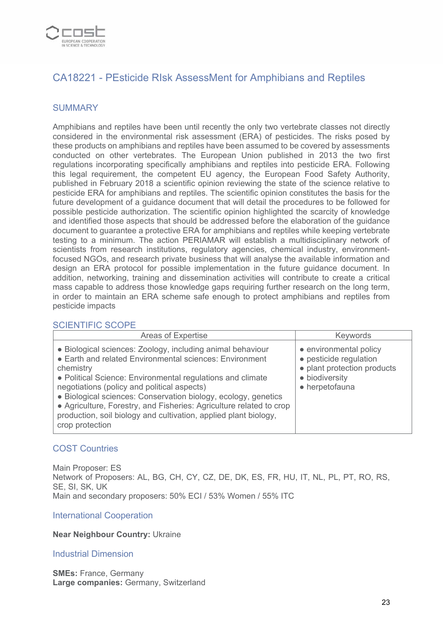

# CA18221 - PEsticide RIsk AssessMent for Amphibians and Reptiles

## **SUMMARY**

Amphibians and reptiles have been until recently the only two vertebrate classes not directly considered in the environmental risk assessment (ERA) of pesticides. The risks posed by these products on amphibians and reptiles have been assumed to be covered by assessments conducted on other vertebrates. The European Union published in 2013 the two first regulations incorporating specifically amphibians and reptiles into pesticide ERA. Following this legal requirement, the competent EU agency, the European Food Safety Authority, published in February 2018 a scientific opinion reviewing the state of the science relative to pesticide ERA for amphibians and reptiles. The scientific opinion constitutes the basis for the future development of a guidance document that will detail the procedures to be followed for possible pesticide authorization. The scientific opinion highlighted the scarcity of knowledge and identified those aspects that should be addressed before the elaboration of the guidance document to guarantee a protective ERA for amphibians and reptiles while keeping vertebrate testing to a minimum. The action PERIAMAR will establish a multidisciplinary network of scientists from research institutions, regulatory agencies, chemical industry, environmentfocused NGOs, and research private business that will analyse the available information and design an ERA protocol for possible implementation in the future guidance document. In addition, networking, training and dissemination activities will contribute to create a critical mass capable to address those knowledge gaps requiring further research on the long term, in order to maintain an ERA scheme safe enough to protect amphibians and reptiles from pesticide impacts

#### SCIENTIFIC SCOPE

| <b>Areas of Expertise</b>                                                                                                                                                                                                                                                                                                                                                                                                                                                       | <b>Keywords</b>                                                                                                     |
|---------------------------------------------------------------------------------------------------------------------------------------------------------------------------------------------------------------------------------------------------------------------------------------------------------------------------------------------------------------------------------------------------------------------------------------------------------------------------------|---------------------------------------------------------------------------------------------------------------------|
| • Biological sciences: Zoology, including animal behaviour<br>• Earth and related Environmental sciences: Environment<br>chemistry<br>• Political Science: Environmental regulations and climate<br>negotiations (policy and political aspects)<br>• Biological sciences: Conservation biology, ecology, genetics<br>• Agriculture, Forestry, and Fisheries: Agriculture related to crop<br>production, soil biology and cultivation, applied plant biology,<br>crop protection | • environmental policy<br>• pesticide regulation<br>• plant protection products<br>• biodiversity<br>• herpetofauna |

#### COST Countries

Main Proposer: ES Network of Proposers: AL, BG, CH, CY, CZ, DE, DK, ES, FR, HU, IT, NL, PL, PT, RO, RS, SE, SI, SK, UK Main and secondary proposers: 50% ECI / 53% Women / 55% ITC

#### International Cooperation

#### **Near Neighbour Country:** Ukraine

#### Industrial Dimension

**SMEs: France, Germany Large companies:** Germany, Switzerland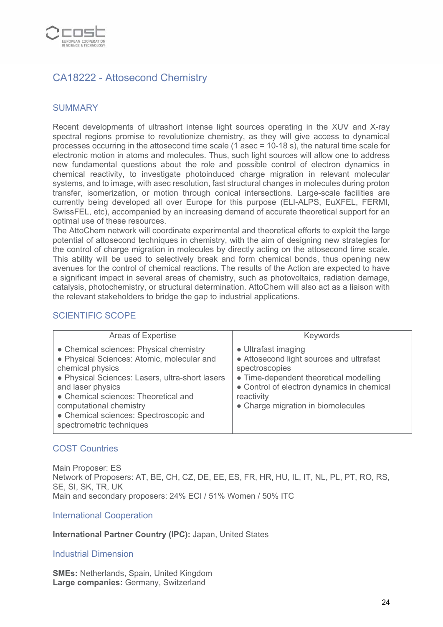

# CA18222 - Attosecond Chemistry

## **SUMMARY**

Recent developments of ultrashort intense light sources operating in the XUV and X-ray spectral regions promise to revolutionize chemistry, as they will give access to dynamical processes occurring in the attosecond time scale (1 asec = 10-18 s), the natural time scale for electronic motion in atoms and molecules. Thus, such light sources will allow one to address new fundamental questions about the role and possible control of electron dynamics in chemical reactivity, to investigate photoinduced charge migration in relevant molecular systems, and to image, with asec resolution, fast structural changes in molecules during proton transfer, isomerization, or motion through conical intersections. Large-scale facilities are currently being developed all over Europe for this purpose (ELI-ALPS, EuXFEL, FERMI, SwissFEL, etc), accompanied by an increasing demand of accurate theoretical support for an optimal use of these resources.

The AttoChem network will coordinate experimental and theoretical efforts to exploit the large potential of attosecond techniques in chemistry, with the aim of designing new strategies for the control of charge migration in molecules by directly acting on the attosecond time scale. This ability will be used to selectively break and form chemical bonds, thus opening new avenues for the control of chemical reactions. The results of the Action are expected to have a significant impact in several areas of chemistry, such as photovoltaics, radiation damage, catalysis, photochemistry, or structural determination. AttoChem will also act as a liaison with the relevant stakeholders to bridge the gap to industrial applications.

## SCIENTIFIC SCOPE

| Areas of Expertise                                                                                                                                                                                                                                                                                                         | <b>Keywords</b>                                                                                                                                                                                                               |
|----------------------------------------------------------------------------------------------------------------------------------------------------------------------------------------------------------------------------------------------------------------------------------------------------------------------------|-------------------------------------------------------------------------------------------------------------------------------------------------------------------------------------------------------------------------------|
| • Chemical sciences: Physical chemistry<br>• Physical Sciences: Atomic, molecular and<br>chemical physics<br>• Physical Sciences: Lasers, ultra-short lasers<br>and laser physics<br>• Chemical sciences: Theoretical and<br>computational chemistry<br>• Chemical sciences: Spectroscopic and<br>spectrometric techniques | • Ultrafast imaging<br>• Attosecond light sources and ultrafast<br>spectroscopies<br>• Time-dependent theoretical modelling<br>• Control of electron dynamics in chemical<br>reactivity<br>• Charge migration in biomolecules |

#### COST Countries

Main Proposer: ES Network of Proposers: AT, BE, CH, CZ, DE, EE, ES, FR, HR, HU, IL, IT, NL, PL, PT, RO, RS, SE, SI, SK, TR, UK Main and secondary proposers: 24% ECI / 51% Women / 50% ITC

#### International Cooperation

#### **International Partner Country (IPC):** Japan, United States

#### Industrial Dimension

**SMEs:** Netherlands, Spain, United Kingdom **Large companies:** Germany, Switzerland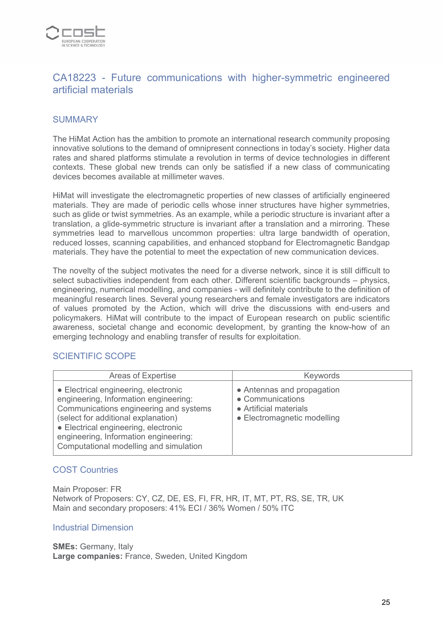

# CA18223 - Future communications with higher-symmetric engineered artificial materials

## **SUMMARY**

The HiMat Action has the ambition to promote an international research community proposing innovative solutions to the demand of omnipresent connections in today's society. Higher data rates and shared platforms stimulate a revolution in terms of device technologies in different contexts. These global new trends can only be satisfied if a new class of communicating devices becomes available at millimeter waves.

HiMat will investigate the electromagnetic properties of new classes of artificially engineered materials. They are made of periodic cells whose inner structures have higher symmetries, such as glide or twist symmetries. As an example, while a periodic structure is invariant after a translation, a glide-symmetric structure is invariant after a translation and a mirroring. These symmetries lead to marvellous uncommon properties: ultra large bandwidth of operation, reduced losses, scanning capabilities, and enhanced stopband for Electromagnetic Bandgap materials. They have the potential to meet the expectation of new communication devices.

The novelty of the subject motivates the need for a diverse network, since it is still difficult to select subactivities independent from each other. Different scientific backgrounds – physics, engineering, numerical modelling, and companies - will definitely contribute to the definition of meaningful research lines. Several young researchers and female investigators are indicators of values promoted by the Action, which will drive the discussions with end-users and policymakers. HiMat will contribute to the impact of European research on public scientific awareness, societal change and economic development, by granting the know-how of an emerging technology and enabling transfer of results for exploitation.

#### SCIENTIFIC SCOPE

| Areas of Expertise                                                                                                                                                                                                                                                                        | Keywords                                                                                                |
|-------------------------------------------------------------------------------------------------------------------------------------------------------------------------------------------------------------------------------------------------------------------------------------------|---------------------------------------------------------------------------------------------------------|
| • Electrical engineering, electronic<br>engineering, Information engineering:<br>Communications engineering and systems<br>(select for additional explanation)<br>• Electrical engineering, electronic<br>engineering, Information engineering:<br>Computational modelling and simulation | • Antennas and propagation<br>• Communications<br>• Artificial materials<br>• Electromagnetic modelling |

## COST Countries

Main Proposer: FR Network of Proposers: CY, CZ, DE, ES, FI, FR, HR, IT, MT, PT, RS, SE, TR, UK Main and secondary proposers: 41% ECI / 36% Women / 50% ITC

#### Industrial Dimension

**SMEs:** Germany, Italy **Large companies:** France, Sweden, United Kingdom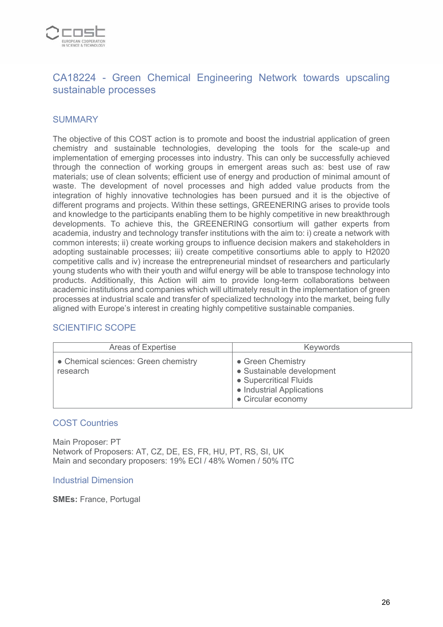

# CA18224 - Green Chemical Engineering Network towards upscaling sustainable processes

## **SUMMARY**

The objective of this COST action is to promote and boost the industrial application of green chemistry and sustainable technologies, developing the tools for the scale-up and implementation of emerging processes into industry. This can only be successfully achieved through the connection of working groups in emergent areas such as: best use of raw materials; use of clean solvents; efficient use of energy and production of minimal amount of waste. The development of novel processes and high added value products from the integration of highly innovative technologies has been pursued and it is the objective of different programs and projects. Within these settings, GREENERING arises to provide tools and knowledge to the participants enabling them to be highly competitive in new breakthrough developments. To achieve this, the GREENERING consortium will gather experts from academia, industry and technology transfer institutions with the aim to: i) create a network with common interests; ii) create working groups to influence decision makers and stakeholders in adopting sustainable processes; iii) create competitive consortiums able to apply to H2020 competitive calls and iv) increase the entrepreneurial mindset of researchers and particularly young students who with their youth and wilful energy will be able to transpose technology into products. Additionally, this Action will aim to provide long-term collaborations between academic institutions and companies which will ultimately result in the implementation of green processes at industrial scale and transfer of specialized technology into the market, being fully aligned with Europe's interest in creating highly competitive sustainable companies.

## SCIENTIFIC SCOPE

| Areas of Expertise                               | <b>Keywords</b>                                                                                                             |
|--------------------------------------------------|-----------------------------------------------------------------------------------------------------------------------------|
| • Chemical sciences: Green chemistry<br>research | • Green Chemistry<br>• Sustainable development<br>• Supercritical Fluids<br>• Industrial Applications<br>• Circular economy |

#### COST Countries

Main Proposer: PT Network of Proposers: AT, CZ, DE, ES, FR, HU, PT, RS, SI, UK Main and secondary proposers: 19% ECI / 48% Women / 50% ITC

#### Industrial Dimension

**SMEs:** France, Portugal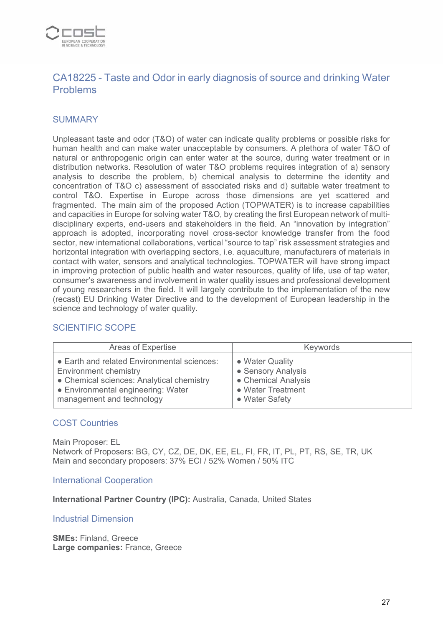

# CA18225 - Taste and Odor in early diagnosis of source and drinking Water Problems

## **SUMMARY**

Unpleasant taste and odor (T&O) of water can indicate quality problems or possible risks for human health and can make water unacceptable by consumers. A plethora of water T&O of natural or anthropogenic origin can enter water at the source, during water treatment or in distribution networks. Resolution of water T&O problems requires integration of a) sensory analysis to describe the problem, b) chemical analysis to determine the identity and concentration of T&O c) assessment of associated risks and d) suitable water treatment to control T&O. Expertise in Europe across those dimensions are yet scattered and fragmented. The main aim of the proposed Action (TOPWATER) is to increase capabilities and capacities in Europe for solving water T&O, by creating the first European network of multidisciplinary experts, end-users and stakeholders in the field. An "innovation by integration" approach is adopted, incorporating novel cross-sector knowledge transfer from the food sector, new international collaborations, vertical "source to tap" risk assessment strategies and horizontal integration with overlapping sectors, i.e. aquaculture, manufacturers of materials in contact with water, sensors and analytical technologies. TOPWATER will have strong impact in improving protection of public health and water resources, quality of life, use of tap water, consumer's awareness and involvement in water quality issues and professional development of young researchers in the field. It will largely contribute to the implementation of the new (recast) EU Drinking Water Directive and to the development of European leadership in the science and technology of water quality.

## SCIENTIFIC SCOPE

| Areas of Expertise                          | Keywords            |
|---------------------------------------------|---------------------|
| • Earth and related Environmental sciences: | • Water Quality     |
| Environment chemistry                       | • Sensory Analysis  |
| • Chemical sciences: Analytical chemistry   | • Chemical Analysis |
| • Environmental engineering: Water          | • Water Treatment   |
| management and technology                   | • Water Safety      |

#### COST Countries

Main Proposer: EL Network of Proposers: BG, CY, CZ, DE, DK, EE, EL, FI, FR, IT, PL, PT, RS, SE, TR, UK Main and secondary proposers: 37% ECI / 52% Women / 50% ITC

International Cooperation

**International Partner Country (IPC):** Australia, Canada, United States

Industrial Dimension

**SMEs:** Finland, Greece **Large companies:** France, Greece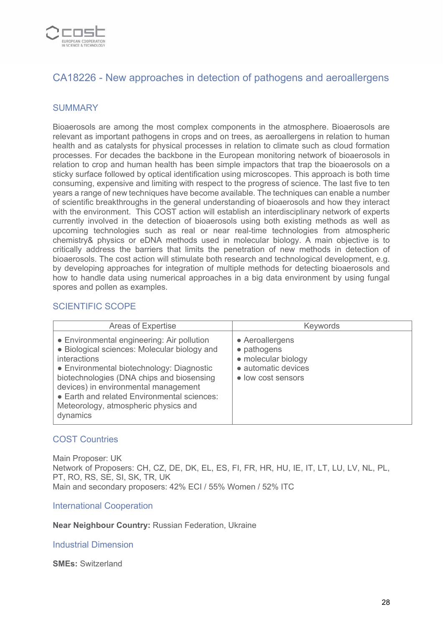

# CA18226 - New approaches in detection of pathogens and aeroallergens

#### **SUMMARY**

Bioaerosols are among the most complex components in the atmosphere. Bioaerosols are relevant as important pathogens in crops and on trees, as aeroallergens in relation to human health and as catalysts for physical processes in relation to climate such as cloud formation processes. For decades the backbone in the European monitoring network of bioaerosols in relation to crop and human health has been simple impactors that trap the bioaerosols on a sticky surface followed by optical identification using microscopes. This approach is both time consuming, expensive and limiting with respect to the progress of science. The last five to ten years a range of new techniques have become available. The techniques can enable a number of scientific breakthroughs in the general understanding of bioaerosols and how they interact with the environment. This COST action will establish an interdisciplinary network of experts currently involved in the detection of bioaerosols using both existing methods as well as upcoming technologies such as real or near real-time technologies from atmospheric chemistry& physics or eDNA methods used in molecular biology. A main objective is to critically address the barriers that limits the penetration of new methods in detection of bioaerosols. The cost action will stimulate both research and technological development, e.g. by developing approaches for integration of multiple methods for detecting bioaerosols and how to handle data using numerical approaches in a big data environment by using fungal spores and pollen as examples.

## SCIENTIFIC SCOPE

| Areas of Expertise                                                                                                                                                                                                                                                                                                                                     | Keywords                                                                                           |
|--------------------------------------------------------------------------------------------------------------------------------------------------------------------------------------------------------------------------------------------------------------------------------------------------------------------------------------------------------|----------------------------------------------------------------------------------------------------|
| • Environmental engineering: Air pollution<br>• Biological sciences: Molecular biology and<br><i>interactions</i><br>• Environmental biotechnology: Diagnostic<br>biotechnologies (DNA chips and biosensing<br>devices) in environmental management<br>• Earth and related Environmental sciences:<br>Meteorology, atmospheric physics and<br>dynamics | • Aeroallergens<br>• pathogens<br>• molecular biology<br>• automatic devices<br>• low cost sensors |

#### COST Countries

Main Proposer: UK Network of Proposers: CH, CZ, DE, DK, EL, ES, FI, FR, HR, HU, IE, IT, LT, LU, LV, NL, PL, PT, RO, RS, SE, SI, SK, TR, UK Main and secondary proposers: 42% ECI / 55% Women / 52% ITC

International Cooperation

**Near Neighbour Country:** Russian Federation, Ukraine

Industrial Dimension

**SMEs:** Switzerland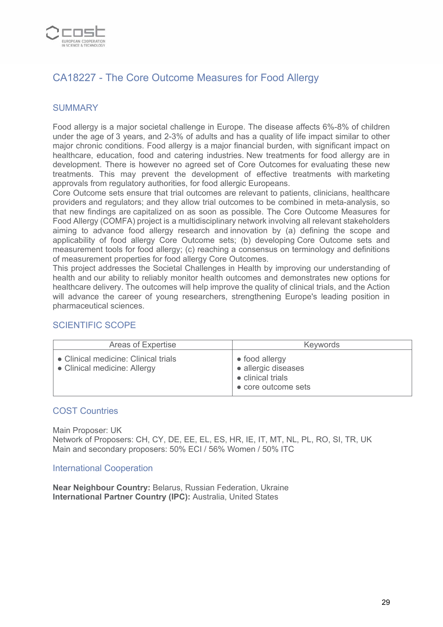

# CA18227 - The Core Outcome Measures for Food Allergy

## **SUMMARY**

Food allergy is a major societal challenge in Europe. The disease affects 6%-8% of children under the age of 3 years, and 2-3% of adults and has a quality of life impact similar to other major chronic conditions. Food allergy is a major financial burden, with significant impact on healthcare, education, food and catering industries. New treatments for food allergy are in development. There is however no agreed set of Core Outcomes for evaluating these new treatments. This may prevent the development of effective treatments with marketing approvals from regulatory authorities, for food allergic Europeans.

Core Outcome sets ensure that trial outcomes are relevant to patients, clinicians, healthcare providers and regulators; and they allow trial outcomes to be combined in meta-analysis, so that new findings are capitalized on as soon as possible. The Core Outcome Measures for Food Allergy (COMFA) project is a multidisciplinary network involving all relevant stakeholders aiming to advance food allergy research and innovation by (a) defining the scope and applicability of food allergy Core Outcome sets; (b) developing Core Outcome sets and measurement tools for food allergy; (c) reaching a consensus on terminology and definitions of measurement properties for food allergy Core Outcomes.

This project addresses the Societal Challenges in Health by improving our understanding of health and our ability to reliably monitor health outcomes and demonstrates new options for healthcare delivery. The outcomes will help improve the quality of clinical trials, and the Action will advance the career of young researchers, strengthening Europe's leading position in pharmaceutical sciences.

## SCIENTIFIC SCOPE

| Areas of Expertise                                                   | <b>Keywords</b>                                                                           |
|----------------------------------------------------------------------|-------------------------------------------------------------------------------------------|
| • Clinical medicine: Clinical trials<br>• Clinical medicine: Allergy | $\bullet$ food allergy<br>• allergic diseases<br>• clinical trials<br>• core outcome sets |

#### COST Countries

Main Proposer: UK Network of Proposers: CH, CY, DE, EE, EL, ES, HR, IE, IT, MT, NL, PL, RO, SI, TR, UK Main and secondary proposers: 50% ECI / 56% Women / 50% ITC

#### International Cooperation

**Near Neighbour Country:** Belarus, Russian Federation, Ukraine **International Partner Country (IPC):** Australia, United States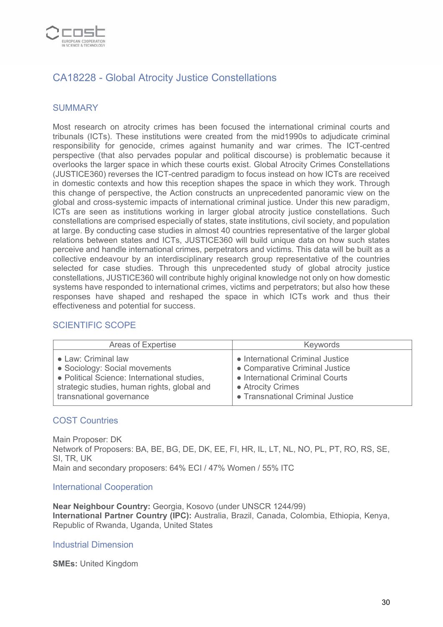

# CA18228 - Global Atrocity Justice Constellations

## **SUMMARY**

Most research on atrocity crimes has been focused the international criminal courts and tribunals (ICTs). These institutions were created from the mid1990s to adjudicate criminal responsibility for genocide, crimes against humanity and war crimes. The ICT-centred perspective (that also pervades popular and political discourse) is problematic because it overlooks the larger space in which these courts exist. Global Atrocity Crimes Constellations (JUSTICE360) reverses the ICT-centred paradigm to focus instead on how ICTs are received in domestic contexts and how this reception shapes the space in which they work. Through this change of perspective, the Action constructs an unprecedented panoramic view on the global and cross-systemic impacts of international criminal justice. Under this new paradigm, ICTs are seen as institutions working in larger global atrocity justice constellations. Such constellations are comprised especially of states, state institutions, civil society, and population at large. By conducting case studies in almost 40 countries representative of the larger global relations between states and ICTs, JUSTICE360 will build unique data on how such states perceive and handle international crimes, perpetrators and victims. This data will be built as a collective endeavour by an interdisciplinary research group representative of the countries selected for case studies. Through this unprecedented study of global atrocity justice constellations, JUSTICE360 will contribute highly original knowledge not only on how domestic systems have responded to international crimes, victims and perpetrators; but also how these responses have shaped and reshaped the space in which ICTs work and thus their effectiveness and potential for success.

#### SCIENTIFIC SCOPE

| Areas of Expertise                          | Keywords                         |
|---------------------------------------------|----------------------------------|
| • Law: Criminal law                         | • International Criminal Justice |
| • Sociology: Social movements               | • Comparative Criminal Justice   |
| · Political Science: International studies, | • International Criminal Courts  |
| strategic studies, human rights, global and | • Atrocity Crimes                |
| transnational governance                    | • Transnational Criminal Justice |

#### COST Countries

Main Proposer: DK Network of Proposers: BA, BE, BG, DE, DK, EE, FI, HR, IL, LT, NL, NO, PL, PT, RO, RS, SE, SI, TR, UK Main and secondary proposers: 64% ECI / 47% Women / 55% ITC

#### International Cooperation

**Near Neighbour Country:** Georgia, Kosovo (under UNSCR 1244/99) **International Partner Country (IPC):** Australia, Brazil, Canada, Colombia, Ethiopia, Kenya, Republic of Rwanda, Uganda, United States

#### Industrial Dimension

**SMEs:** United Kingdom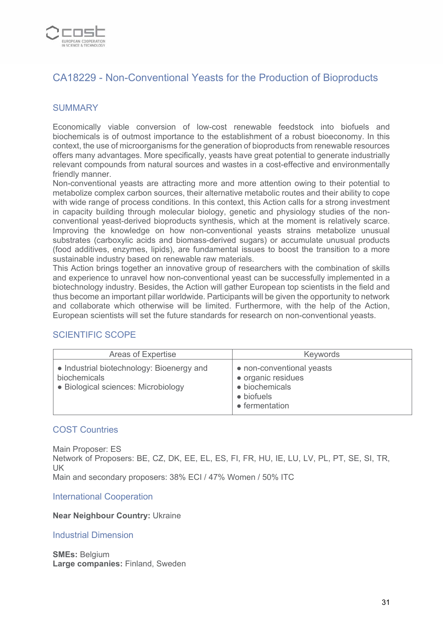

# CA18229 - Non-Conventional Yeasts for the Production of Bioproducts

## **SUMMARY**

Economically viable conversion of low-cost renewable feedstock into biofuels and biochemicals is of outmost importance to the establishment of a robust bioeconomy. In this context, the use of microorganisms for the generation of bioproducts from renewable resources offers many advantages. More specifically, yeasts have great potential to generate industrially relevant compounds from natural sources and wastes in a cost-effective and environmentally friendly manner.

Non-conventional yeasts are attracting more and more attention owing to their potential to metabolize complex carbon sources, their alternative metabolic routes and their ability to cope with wide range of process conditions. In this context, this Action calls for a strong investment in capacity building through molecular biology, genetic and physiology studies of the nonconventional yeast-derived bioproducts synthesis, which at the moment is relatively scarce. Improving the knowledge on how non-conventional yeasts strains metabolize unusual substrates (carboxylic acids and biomass-derived sugars) or accumulate unusual products (food additives, enzymes, lipids), are fundamental issues to boost the transition to a more sustainable industry based on renewable raw materials.

This Action brings together an innovative group of researchers with the combination of skills and experience to unravel how non-conventional yeast can be successfully implemented in a biotechnology industry. Besides, the Action will gather European top scientists in the field and thus become an important pillar worldwide. Participants will be given the opportunity to network and collaborate which otherwise will be limited. Furthermore, with the help of the Action, European scientists will set the future standards for research on non-conventional yeasts.

## SCIENTIFIC SCOPE

| Areas of Expertise                                                                               | Keywords                                                                                          |
|--------------------------------------------------------------------------------------------------|---------------------------------------------------------------------------------------------------|
| • Industrial biotechnology: Bioenergy and<br>biochemicals<br>• Biological sciences: Microbiology | • non-conventional yeasts<br>· organic residues<br>· biochemicals<br>• biofuels<br>• fermentation |

#### COST Countries

Main Proposer: ES Network of Proposers: BE, CZ, DK, EE, EL, ES, FI, FR, HU, IE, LU, LV, PL, PT, SE, SI, TR, UK Main and secondary proposers: 38% ECI / 47% Women / 50% ITC

International Cooperation

**Near Neighbour Country:** Ukraine

#### Industrial Dimension

**SMEs:** Belgium **Large companies:** Finland, Sweden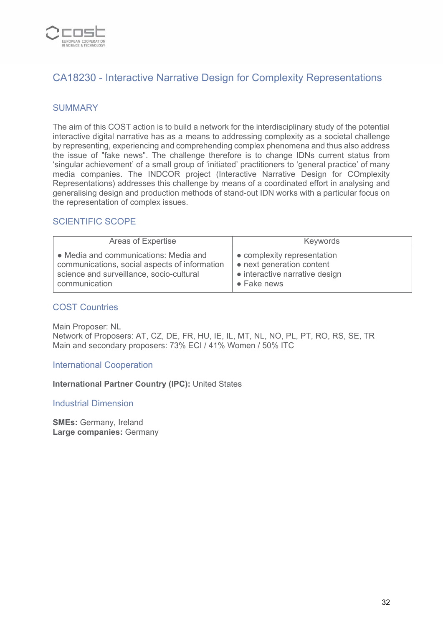

# CA18230 - Interactive Narrative Design for Complexity Representations

## **SUMMARY**

The aim of this COST action is to build a network for the interdisciplinary study of the potential interactive digital narrative has as a means to addressing complexity as a societal challenge by representing, experiencing and comprehending complex phenomena and thus also address the issue of "fake news". The challenge therefore is to change IDNs current status from 'singular achievement' of a small group of 'initiated' practitioners to 'general practice' of many media companies. The INDCOR project (Interactive Narrative Design for COmplexity Representations) addresses this challenge by means of a coordinated effort in analysing and generalising design and production methods of stand-out IDN works with a particular focus on the representation of complex issues.

## SCIENTIFIC SCOPE

| Areas of Expertise                            | Keywords                       |
|-----------------------------------------------|--------------------------------|
| • Media and communications: Media and         | • complexity representation    |
| communications, social aspects of information | • next generation content      |
| science and surveillance, socio-cultural      | • interactive narrative design |
| communication                                 | $\bullet$ Fake news            |

#### COST Countries

Main Proposer: NL Network of Proposers: AT, CZ, DE, FR, HU, IE, IL, MT, NL, NO, PL, PT, RO, RS, SE, TR Main and secondary proposers: 73% ECI / 41% Women / 50% ITC

International Cooperation

**International Partner Country (IPC):** United States

#### Industrial Dimension

**SMEs:** Germany, Ireland **Large companies:** Germany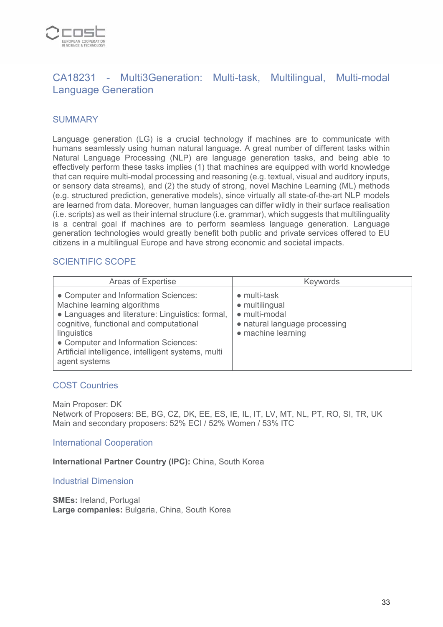

# CA18231 - Multi3Generation: Multi-task, Multilingual, Multi-modal Language Generation

## **SUMMARY**

Language generation (LG) is a crucial technology if machines are to communicate with humans seamlessly using human natural language. A great number of different tasks within Natural Language Processing (NLP) are language generation tasks, and being able to effectively perform these tasks implies (1) that machines are equipped with world knowledge that can require multi-modal processing and reasoning (e.g. textual, visual and auditory inputs, or sensory data streams), and (2) the study of strong, novel Machine Learning (ML) methods (e.g. structured prediction, generative models), since virtually all state-of-the-art NLP models are learned from data. Moreover, human languages can differ wildly in their surface realisation (i.e. scripts) as well as their internal structure (i.e. grammar), which suggests that multilinguality is a central goal if machines are to perform seamless language generation. Language generation technologies would greatly benefit both public and private services offered to EU citizens in a multilingual Europe and have strong economic and societal impacts.

## SCIENTIFIC SCOPE

| Areas of Expertise                                                                                                                                                                                                                                                                                | Keywords                                                                                                               |
|---------------------------------------------------------------------------------------------------------------------------------------------------------------------------------------------------------------------------------------------------------------------------------------------------|------------------------------------------------------------------------------------------------------------------------|
| • Computer and Information Sciences:<br>Machine learning algorithms<br>• Languages and literature: Linguistics: formal,<br>cognitive, functional and computational<br>linguistics<br>• Computer and Information Sciences:<br>Artificial intelligence, intelligent systems, multi<br>agent systems | $\bullet$ multi-task<br>• multilingual<br>• multi-modal<br>• natural language processing<br>$\bullet$ machine learning |

#### COST Countries

Main Proposer: DK Network of Proposers: BE, BG, CZ, DK, EE, ES, IE, IL, IT, LV, MT, NL, PT, RO, SI, TR, UK Main and secondary proposers: 52% ECI / 52% Women / 53% ITC

International Cooperation

**International Partner Country (IPC):** China, South Korea

Industrial Dimension

**SMEs:** Ireland, Portugal **Large companies:** Bulgaria, China, South Korea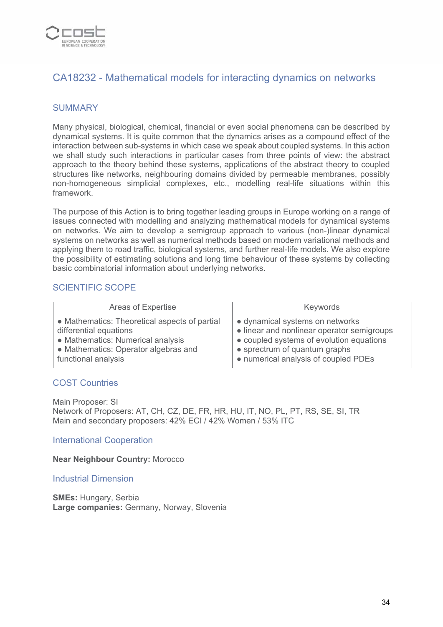

# CA18232 - Mathematical models for interacting dynamics on networks

#### **SUMMARY**

Many physical, biological, chemical, financial or even social phenomena can be described by dynamical systems. It is quite common that the dynamics arises as a compound effect of the interaction between sub-systems in which case we speak about coupled systems. In this action we shall study such interactions in particular cases from three points of view: the abstract approach to the theory behind these systems, applications of the abstract theory to coupled structures like networks, neighbouring domains divided by permeable membranes, possibly non-homogeneous simplicial complexes, etc., modelling real-life situations within this framework.

The purpose of this Action is to bring together leading groups in Europe working on a range of issues connected with modelling and analyzing mathematical models for dynamical systems on networks. We aim to develop a semigroup approach to various (non-)linear dynamical systems on networks as well as numerical methods based on modern variational methods and applying them to road traffic, biological systems, and further real-life models. We also explore the possibility of estimating solutions and long time behaviour of these systems by collecting basic combinatorial information about underlying networks.

#### SCIENTIFIC SCOPE

| Areas of Expertise                            | Keywords                                   |
|-----------------------------------------------|--------------------------------------------|
| • Mathematics: Theoretical aspects of partial | • dynamical systems on networks            |
| differential equations                        | • linear and nonlinear operator semigroups |
| • Mathematics: Numerical analysis             | • coupled systems of evolution equations   |
| • Mathematics: Operator algebras and          | • sprectrum of quantum graphs              |
| functional analysis                           | • numerical analysis of coupled PDEs       |

#### COST Countries

Main Proposer: SI Network of Proposers: AT, CH, CZ, DE, FR, HR, HU, IT, NO, PL, PT, RS, SE, SI, TR Main and secondary proposers: 42% ECI / 42% Women / 53% ITC

#### International Cooperation

#### **Near Neighbour Country:** Morocco

#### Industrial Dimension

**SMEs:** Hungary, Serbia **Large companies:** Germany, Norway, Slovenia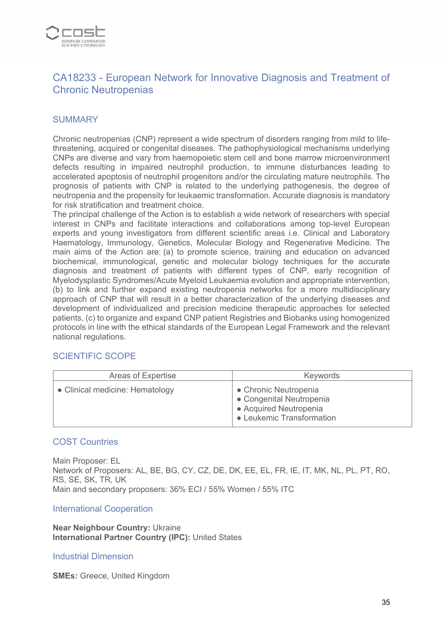

# CA18233 - European Network for Innovative Diagnosis and Treatment of Chronic Neutropenias

## **SUMMARY**

Chronic neutropenias (CNP) represent a wide spectrum of disorders ranging from mild to lifethreatening, acquired or congenital diseases. The pathophysiological mechanisms underlying CNPs are diverse and vary from haemopoietic stem cell and bone marrow microenvironment defects resulting in impaired neutrophil production, to immune disturbances leading to accelerated apoptosis of neutrophil progenitors and/or the circulating mature neutrophils. The prognosis of patients with CNP is related to the underlying pathogenesis, the degree of neutropenia and the propensity for leukaemic transformation. Accurate diagnosis is mandatory for risk stratification and treatment choice.

The principal challenge of the Action is to establish a wide network of researchers with special interest in CNPs and facilitate interactions and collaborations among top-level European experts and young investigators from different scientific areas i.e. Clinical and Laboratory Haematology, Immunology, Genetics, Molecular Biology and Regenerative Medicine. The main aims of the Action are: (a) to promote science, training and education on advanced biochemical, immunological, genetic and molecular biology techniques for the accurate diagnosis and treatment of patients with different types of CNP, early recognition of Myelodysplastic Syndromes/Acute Myeloid Leukaemia evolution and appropriate intervention, (b) to link and further expand existing neutropenia networks for a more multidisciplinary approach of CNP that will result in a better characterization of the underlying diseases and development of individualized and precision medicine therapeutic approaches for selected patients, (c) to organize and expand CNP patient Registries and Biobanks using homogenized protocols in line with the ethical standards of the European Legal Framework and the relevant national regulations.

#### SCIENTIFIC SCOPE

| Areas of Expertise              | <b>Keywords</b>                                                                                          |
|---------------------------------|----------------------------------------------------------------------------------------------------------|
| • Clinical medicine: Hematology | • Chronic Neutropenia<br>• Congenital Neutropenia<br>• Acquired Neutropenia<br>• Leukemic Transformation |

#### COST Countries

Main Proposer: EL Network of Proposers: AL, BE, BG, CY, CZ, DE, DK, EE, EL, FR, IE, IT, MK, NL, PL, PT, RO, RS, SE, SK, TR, UK Main and secondary proposers: 36% ECI / 55% Women / 55% ITC

International Cooperation

**Near Neighbour Country:** Ukraine **International Partner Country (IPC):** United States

#### Industrial Dimension

**SMEs: Greece, United Kingdom**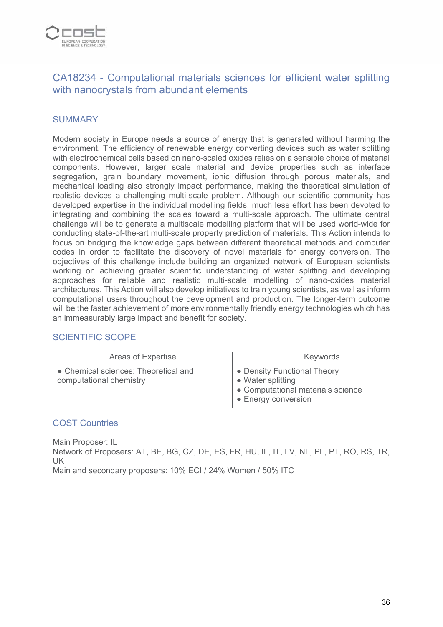

# CA18234 - Computational materials sciences for efficient water splitting with nanocrystals from abundant elements

## **SUMMARY**

Modern society in Europe needs a source of energy that is generated without harming the environment. The efficiency of renewable energy converting devices such as water splitting with electrochemical cells based on nano-scaled oxides relies on a sensible choice of material components. However, larger scale material and device properties such as interface segregation, grain boundary movement, ionic diffusion through porous materials, and mechanical loading also strongly impact performance, making the theoretical simulation of realistic devices a challenging multi-scale problem. Although our scientific community has developed expertise in the individual modelling fields, much less effort has been devoted to integrating and combining the scales toward a multi-scale approach. The ultimate central challenge will be to generate a multiscale modelling platform that will be used world-wide for conducting state-of-the-art multi-scale property prediction of materials. This Action intends to focus on bridging the knowledge gaps between different theoretical methods and computer codes in order to facilitate the discovery of novel materials for energy conversion. The objectives of this challenge include building an organized network of European scientists working on achieving greater scientific understanding of water splitting and developing approaches for reliable and realistic multi-scale modelling of nano-oxides material architectures. This Action will also develop initiatives to train young scientists, as well as inform computational users throughout the development and production. The longer-term outcome will be the faster achievement of more environmentally friendly energy technologies which has an immeasurably large impact and benefit for society.

#### SCIENTIFIC SCOPE

| Areas of Expertise                                              | Keywords                                                                                                     |
|-----------------------------------------------------------------|--------------------------------------------------------------------------------------------------------------|
| • Chemical sciences: Theoretical and<br>computational chemistry | • Density Functional Theory<br>• Water splitting<br>• Computational materials science<br>• Energy conversion |

#### COST Countries

Main Proposer: IL

Network of Proposers: AT, BE, BG, CZ, DE, ES, FR, HU, IL, IT, LV, NL, PL, PT, RO, RS, TR, UK

Main and secondary proposers: 10% ECI / 24% Women / 50% ITC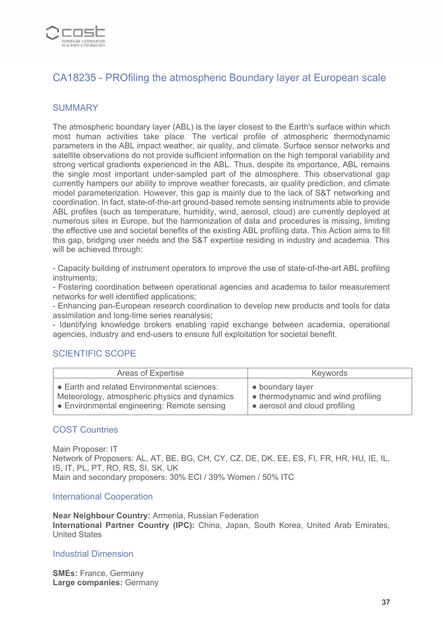

# CA18235 - PROfiling the atmospheric Boundary layer at European scale

#### **SUMMARY**

The atmospheric boundary layer (ABL) is the layer closest to the Earth's surface within which most human activities take place. The vertical profile of atmospheric thermodynamic parameters in the ABL impact weather, air quality, and climate. Surface sensor networks and satellite observations do not provide sufficient information on the high temporal variability and strong vertical gradients experienced in the ABL. Thus, despite its importance, ABL remains the single most important under-sampled part of the atmosphere. This observational gap currently hampers our ability to improve weather forecasts, air quality prediction, and climate model parameterization. However, this gap is mainly due to the lack of S&T networking and coordination. In fact, state-of-the-art ground-based remote sensing instruments able to provide ABL profiles (such as temperature, humidity, wind, aerosol, cloud) are currently deployed at numerous sites in Europe, but the harmonization of data and procedures is missing, limiting the effective use and societal benefits of the existing ABL profiling data. This Action aims to fill this gap, bridging user needs and the S&T expertise residing in industry and academia. This will be achieved through:

- Capacity building of instrument operators to improve the use of state-of-the-art ABL profiling instruments;

- Fostering coordination between operational agencies and academia to tailor measurement networks for well identified applications;

- Enhancing pan-European research coordination to develop new products and tools for data assimilation and long-time series reanalysis;

- Identifying knowledge brokers enabling rapid exchange between academia, operational agencies, industry and end-users to ensure full exploitation for societal benefit.

## SCIENTIFIC SCOPE

| Areas of Expertise                            | Keywords                           |
|-----------------------------------------------|------------------------------------|
| • Earth and related Environmental sciences:   | • boundary layer                   |
| Meteorology, atmospheric physics and dynamics | • thermodynamic and wind profiling |
| • Environmental engineering: Remote sensing   | • aerosol and cloud profiling      |

#### COST Countries

Main Proposer: IT Network of Proposers: AL, AT, BE, BG, CH, CY, CZ, DE, DK, EE, ES, FI, FR, HR, HU, IE, IL, IS, IT, PL, PT, RO, RS, SI, SK, UK Main and secondary proposers: 30% ECI / 39% Women / 50% ITC

#### International Cooperation

**Near Neighbour Country:** Armenia, Russian Federation **International Partner Country (IPC):** China, Japan, South Korea, United Arab Emirates, United States

#### Industrial Dimension

**SMEs:** France, Germany **Large companies:** Germany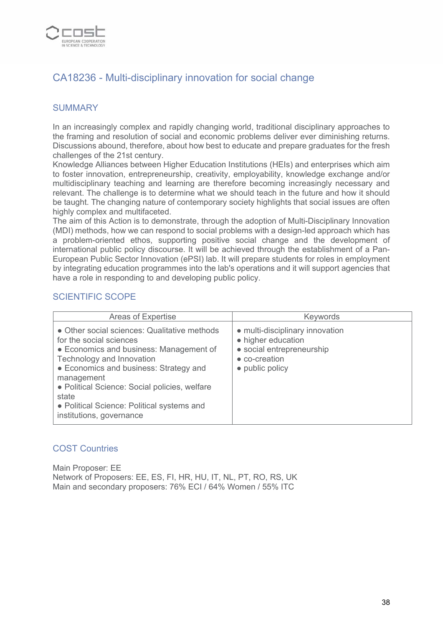

# CA18236 - Multi-disciplinary innovation for social change

## **SUMMARY**

In an increasingly complex and rapidly changing world, traditional disciplinary approaches to the framing and resolution of social and economic problems deliver ever diminishing returns. Discussions abound, therefore, about how best to educate and prepare graduates for the fresh challenges of the 21st century.

Knowledge Alliances between Higher Education Institutions (HEIs) and enterprises which aim to foster innovation, entrepreneurship, creativity, employability, knowledge exchange and/or multidisciplinary teaching and learning are therefore becoming increasingly necessary and relevant. The challenge is to determine what we should teach in the future and how it should be taught. The changing nature of contemporary society highlights that social issues are often highly complex and multifaceted.

The aim of this Action is to demonstrate, through the adoption of Multi-Disciplinary Innovation (MDI) methods, how we can respond to social problems with a design-led approach which has a problem-oriented ethos, supporting positive social change and the development of international public policy discourse. It will be achieved through the establishment of a Pan-European Public Sector Innovation (ePSI) lab. It will prepare students for roles in employment by integrating education programmes into the lab's operations and it will support agencies that have a role in responding to and developing public policy.

#### SCIENTIFIC SCOPE

| <b>Areas of Expertise</b>                                                                                                                                                                                                                                                                                                                   | Keywords                                                                                                               |
|---------------------------------------------------------------------------------------------------------------------------------------------------------------------------------------------------------------------------------------------------------------------------------------------------------------------------------------------|------------------------------------------------------------------------------------------------------------------------|
| • Other social sciences: Qualitative methods<br>for the social sciences<br>• Economics and business: Management of<br>Technology and Innovation<br>• Economics and business: Strategy and<br>management<br>• Political Science: Social policies, welfare<br>state<br>• Political Science: Political systems and<br>institutions, governance | • multi-disciplinary innovation<br>• higher education<br>• social entrepreneurship<br>• co-creation<br>• public policy |

#### COST Countries

Main Proposer: EE Network of Proposers: EE, ES, FI, HR, HU, IT, NL, PT, RO, RS, UK Main and secondary proposers: 76% ECI / 64% Women / 55% ITC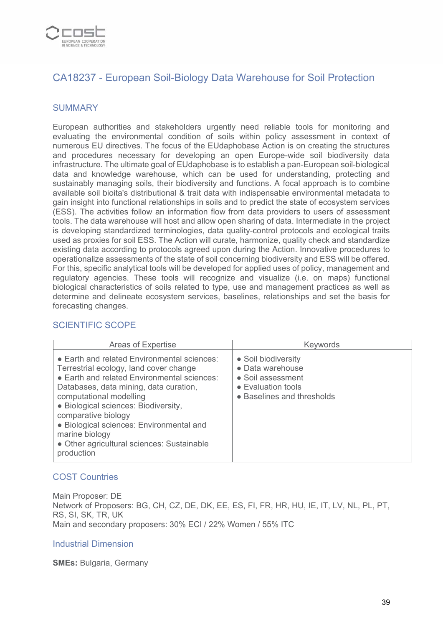

# CA18237 - European Soil-Biology Data Warehouse for Soil Protection

#### **SUMMARY**

European authorities and stakeholders urgently need reliable tools for monitoring and evaluating the environmental condition of soils within policy assessment in context of numerous EU directives. The focus of the EUdaphobase Action is on creating the structures and procedures necessary for developing an open Europe-wide soil biodiversity data infrastructure. The ultimate goal of EUdaphobase is to establish a pan-European soil-biological data and knowledge warehouse, which can be used for understanding, protecting and sustainably managing soils, their biodiversity and functions. A focal approach is to combine available soil bioita's distributional & trait data with indispensable environmental metadata to gain insight into functional relationships in soils and to predict the state of ecosystem services (ESS). The activities follow an information flow from data providers to users of assessment tools. The data warehouse will host and allow open sharing of data. Intermediate in the project is developing standardized terminologies, data quality-control protocols and ecological traits used as proxies for soil ESS. The Action will curate, harmonize, quality check and standardize existing data according to protocols agreed upon during the Action. Innovative procedures to operationalize assessments of the state of soil concerning biodiversity and ESS will be offered. For this, specific analytical tools will be developed for applied uses of policy, management and regulatory agencies. These tools will recognize and visualize (i.e. on maps) functional biological characteristics of soils related to type, use and management practices as well as determine and delineate ecosystem services, baselines, relationships and set the basis for forecasting changes.

| <b>Areas of Expertise</b>                                                                                                                                                                                                                                                                                                                                                                          | Keywords                                                                                                                 |
|----------------------------------------------------------------------------------------------------------------------------------------------------------------------------------------------------------------------------------------------------------------------------------------------------------------------------------------------------------------------------------------------------|--------------------------------------------------------------------------------------------------------------------------|
| • Earth and related Environmental sciences:<br>Terrestrial ecology, land cover change<br>• Earth and related Environmental sciences:<br>Databases, data mining, data curation,<br>computational modelling<br>• Biological sciences: Biodiversity,<br>comparative biology<br>· Biological sciences: Environmental and<br>marine biology<br>• Other agricultural sciences: Sustainable<br>production | • Soil biodiversity<br>• Data warehouse<br>• Soil assessment<br>$\bullet$ Evaluation tools<br>• Baselines and thresholds |

#### SCIENTIFIC SCOPE

#### COST Countries

Main Proposer: DE Network of Proposers: BG, CH, CZ, DE, DK, EE, ES, FI, FR, HR, HU, IE, IT, LV, NL, PL, PT, RS, SI, SK, TR, UK Main and secondary proposers: 30% ECI / 22% Women / 55% ITC

#### Industrial Dimension

**SMEs:** Bulgaria, Germany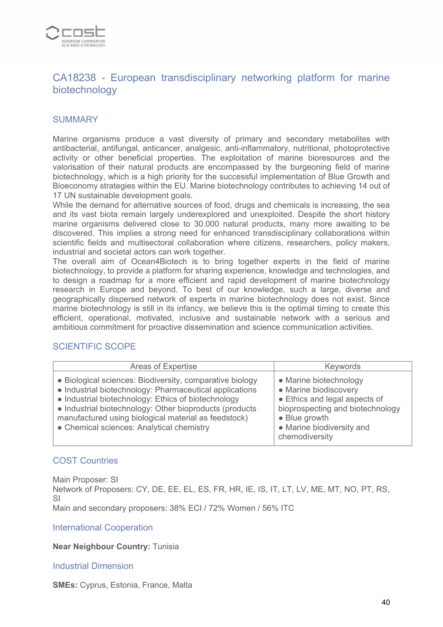

# CA18238 - European transdisciplinary networking platform for marine biotechnology

## **SUMMARY**

Marine organisms produce a vast diversity of primary and secondary metabolites with antibacterial, antifungal, anticancer, analgesic, anti-inflammatory, nutritional, photoprotective activity or other beneficial properties. The exploitation of marine bioresources and the valorisation of their natural products are encompassed by the burgeoning field of marine biotechnology, which is a high priority for the successful implementation of Blue Growth and Bioeconomy strategies within the EU. Marine biotechnology contributes to achieving 14 out of 17 UN sustainable development goals.

While the demand for alternative sources of food, drugs and chemicals is increasing, the sea and its vast biota remain largely underexplored and unexploited. Despite the short history marine organisms delivered close to 30.000 natural products, many more awaiting to be discovered. This implies a strong need for enhanced transdisciplinary collaborations within scientific fields and multisectoral collaboration where citizens, researchers, policy makers, industrial and societal actors can work together.

The overall aim of Ocean4Biotech is to bring together experts in the field of marine biotechnology, to provide a platform for sharing experience, knowledge and technologies, and to design a roadmap for a more efficient and rapid development of marine biotechnology research in Europe and beyond. To best of our knowledge, such a large, diverse and geographically dispersed network of experts in marine biotechnology does not exist. Since marine biotechnology is still in its infancy, we believe this is the optimal timing to create this efficient, operational, motivated, inclusive and sustainable network with a serious and ambitious commitment for proactive dissemination and science communication activities.

#### SCIENTIFIC SCOPE

| Areas of Expertise                                                                                                                                                                                                                                                                                                                         | Keywords                                                                                                                                                                                     |
|--------------------------------------------------------------------------------------------------------------------------------------------------------------------------------------------------------------------------------------------------------------------------------------------------------------------------------------------|----------------------------------------------------------------------------------------------------------------------------------------------------------------------------------------------|
| • Biological sciences: Biodiversity, comparative biology<br>• Industrial biotechnology: Pharmaceutical applications<br>• Industrial biotechnology: Ethics of biotechnology<br>• Industrial biotechnology: Other bioproducts (products<br>manufactured using biological material as feedstock)<br>• Chemical sciences: Analytical chemistry | • Marine biotechnology<br>• Marine biodiscovery<br>• Ethics and legal aspects of<br>bioprospecting and biotechnology<br>$\bullet$ Blue growth<br>• Marine biodiversity and<br>chemodiversity |

#### COST Countries

Main Proposer: SI Network of Proposers: CY, DE, EE, EL, ES, FR, HR, IE, IS, IT, LT, LV, ME, MT, NO, PT, RS, SI Main and secondary proposers: 38% ECI / 72% Women / 56% ITC

International Cooperation

#### **Near Neighbour Country:** Tunisia

#### Industrial Dimension

**SMEs:** Cyprus, Estonia, France, Malta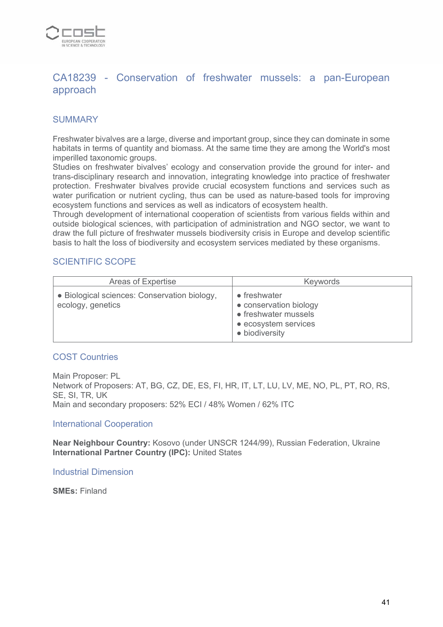

# CA18239 - Conservation of freshwater mussels: a pan-European approach

## **SUMMARY**

Freshwater bivalves are a large, diverse and important group, since they can dominate in some habitats in terms of quantity and biomass. At the same time they are among the World's most imperilled taxonomic groups.

Studies on freshwater bivalves' ecology and conservation provide the ground for inter- and trans-disciplinary research and innovation, integrating knowledge into practice of freshwater protection. Freshwater bivalves provide crucial ecosystem functions and services such as water purification or nutrient cycling, thus can be used as nature-based tools for improving ecosystem functions and services as well as indicators of ecosystem health.

Through development of international cooperation of scientists from various fields within and outside biological sciences, with participation of administration and NGO sector, we want to draw the full picture of freshwater mussels biodiversity crisis in Europe and develop scientific basis to halt the loss of biodiversity and ecosystem services mediated by these organisms.

#### SCIENTIFIC SCOPE

| Areas of Expertise                                                | <b>Keywords</b>                                                                                                  |
|-------------------------------------------------------------------|------------------------------------------------------------------------------------------------------------------|
| • Biological sciences: Conservation biology,<br>ecology, genetics | $\bullet$ freshwater<br>• conservation biology<br>• freshwater mussels<br>• ecosystem services<br>• biodiversity |

#### COST Countries

Main Proposer: PL Network of Proposers: AT, BG, CZ, DE, ES, FI, HR, IT, LT, LU, LV, ME, NO, PL, PT, RO, RS, SE, SI, TR, UK Main and secondary proposers: 52% ECI / 48% Women / 62% ITC

International Cooperation

**Near Neighbour Country:** Kosovo (under UNSCR 1244/99), Russian Federation, Ukraine **International Partner Country (IPC):** United States

Industrial Dimension

**SMEs:** Finland